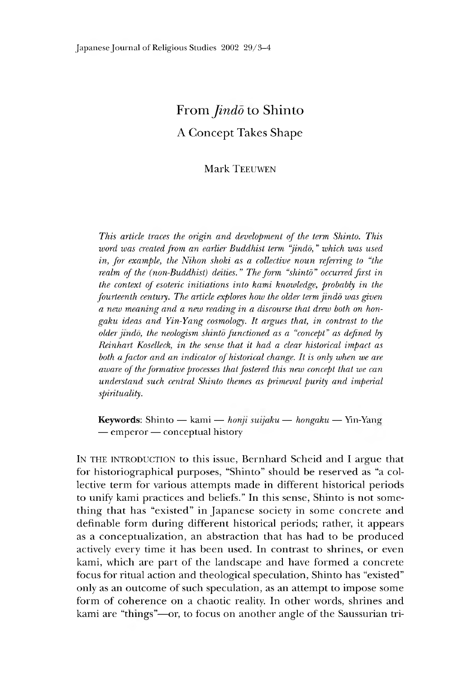# From *Jindo* to Shinto A Concept Takes Shape

# **Mark TEEUWEN**

*This article traces the origin and development of the term Shinto. This word was created from an earlier Buddhist term "jindd,* " *which was used in, for example, the Nihon shoki as a collective noun referring to "the realm of the (non-Buddhist) deities.* " *The form "shintd* " *occurred first in the context of esoteric initiations into kami knowledge, probably in the fourteenth century. The article explores how the older term jindo was given a new meaning and a new reading in a discourse that drew both on hongaku ideas and Yin-Yang cosmology. It argues that, in contrast to the older jindd, the neologism sninto functioned as a "concept" as defined by Reinhart Koselleck, in the sense that it had a clear historical impact as both a factor and an indicator of historical change. It is only when we are aware of the formative processes that fostered this new concept that we can understand such central Shinto themes as primeval purity and imperial spirituality.*

Keywords: Shinto — kami — *honji suijaku — hongaku* — \ln-Yang- — emperor — conceptual history

In the introduction to this issue, Bernhard Scheid and I argue that for historiographical purposes, "Sninto" should be reserved as "a collective term for various attempts made in different historical periods to unify kami practices and beliefs." In this sense, Shinto is not somethine that has "existed" in Japanese society in some concrete and definable form during different historical periods; rather, it appears as a conceptualization, an abstraction that has had to be produced actively every time it has been used. In contrast to shrines, or even kami, which are part of the landscape and have formed a concrete focus for ritual action and theological speculation, Shinto has "existed" only as an outcome of such speculation, as an attempt to impose some form of coherence on a chaotic reality. In other words, shrines and kami are "things"—or, to focus on another angle of the Saussurian tri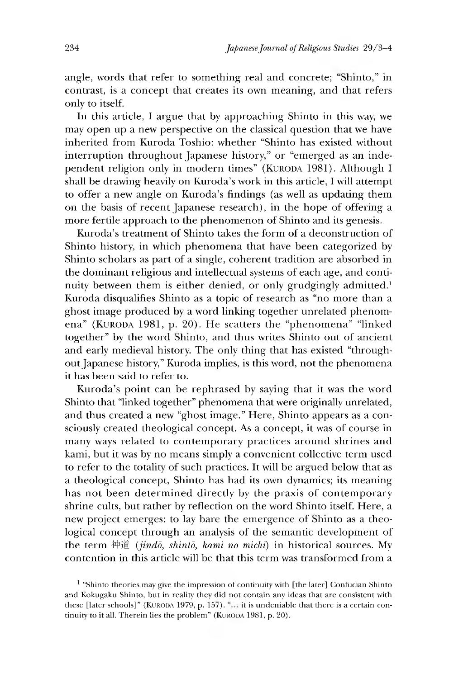angle, words that refer to something real and concrete; "Shinto," in contrast, is a concept that creates its own meaning, and that refers only to itself.

In this article, I argue that by approaching Shinto in this way, we may open up a new perspective on the classical question that we have inherited from Kuroda Toshio: whether "Shinto has existed without interruption throughout Japanese history," or "emerged as an independent religion only in modern times" (KURODA 1981). Although I shall be drawing heavily on Kuroda's work in this article, I will attempt to offer a new angle on Kuroda's findings (as well as updating them on the basis of recent Japanese research), in the hope of offering a more fertile approach to the phenomenon of Shinto and its genesis.

Kuroda's treatment of Shinto takes the form of a deconstruction of Shinto history, in which phenomena that have been categorized by Shinto scholars as part of a single, coherent tradition are absorbed in the dominant religious and intellectual systems of each age, and continuity between them is either denied, or only grudgingly admitted.<sup>1</sup> Kuroda disqualifies Shinto as a topic of research as "no more than a ghost image produced by a word linking together unrelated phenomena" (KURODA 1981, p. 20). He scatters the "phenomena" "linked together" by the word Shinto, and thus writes Shinto out of ancient and early medieval history. The only thing that has existed "throughout Japanese history," Kuroda implies, is this word, not the phenomena it has been said to refer to.

Kuroda's point can be rephrased by saying that it was the word Shinto that "linked together" phenomena that were originally unrelated, and thus created a new "ghost image." Here, Shinto appears as a consciously created theological concept. As a concept, it was of course in many ways related to contemporary practices around shrines and kami, but it was by no means simply a convenient collective term used to refer to the totality of such practices. It will be argued below that as a theological concept, Shinto has had its own dynamics; its meaning has not been determined directly by the praxis of contemporary shrine cults, but rather by reflection on the word Shinto itself. Here, a new project emerges: to lay bare the emergence of Shinto as a theological concept through an analysis of the semantic development of the term 神道 (jindō, shintō, kami no michi) in historical sources. My contention in this article will be that this term was transformed from a

<sup>1 &</sup>quot;Shinto theories may give the impression of continuity with [the later] Confucian Shinto and Kokugaku Shinto, but in reality they did not contain any ideas that are consistent with these [later schools]" (KURODA 1979, p. 157).  $\cdot\cdot\cdot$ , it is undeniable that there is a certain continuity to it all. Therein lies the problem" (KURODA 1981, p. 20).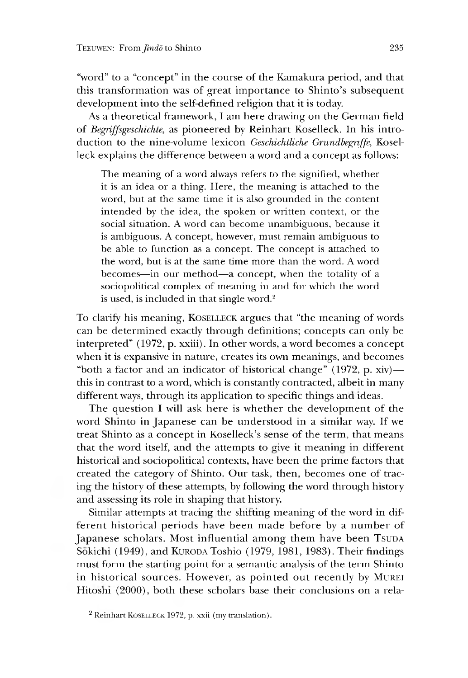"word" to a "concept" in the course of the Kamakura period, and that this transformation was of great importance to Shinto's subsequent development into the self-defined religion that it is today.

As a theoretical framework, I am here drawing on the German field of *Begriffsgeschichte,* as pioneered by Reinhart Koselleck. In his introduction to the nine-volume lexicon *Geschichtliche Grundbegriffe,* Koselleck explains the difference between a word and a concept as follows:

The meaning of a word always refers to the signified, whether it is an idea or a thing. Here, the meaning is attached to the word, but at the same time it is also grounded in the content intended by the idea, the spoken or written context, or the social situation. A word can become unambiguous, because it is ambiguous. A concept, however, must remain ambiguous to be able to function as a concept. The concept is attached to the word, but is at the same time more than the word. A word becomes—in our method—a concept, when the totality of a sociopolitical complex of meaning in and for which the word is used, is included in that single word.<sup>2</sup>

To clarify his meaning, KOSELLECK argues that "the meaning of words can be determined exactly through definitions; concepts can only be interpreted" (1972, p. xxiii). In other words, a word becomes a concept when it is expansive in nature, creates its own meanings, and becomes "both a factor and an indicator of historical change"  $(1972, p. xiv)$  this in contrast to a word, which is constantly contracted, albeit in many different ways, through its application to specific things and ideas.

The question I will ask here is whether the development of the word Shinto in Japanese can be understood in a similar way. If we treat Shinto as a concept in Koselleck's sense of the term, that means that the word itself, and the attempts to give it meaning in different historical and sociopolitical contexts, have been the prime factors that created the category of Shinto. Our task, then, becomes one of tracing the history of these attempts, by following the word through history and assessing its role in shaping that history.

Similar attempts at tracing the shitting meaning of the word in different historical periods have been made before by a number of Japanese scholars. Most influential among them have been Tsupa Sōkichi (1949), and KURODA Toshio (1979, 1981, 1983). Their findings must form the starting point for a semantic analysis of the term Shinto in historical sources. However, as pointed out recently by Murei Hitoshi (2000), both these scholars base their conclusions on a rela-

 $2$  Reinhart KOSELLECK 1972, p. xxii (my translation).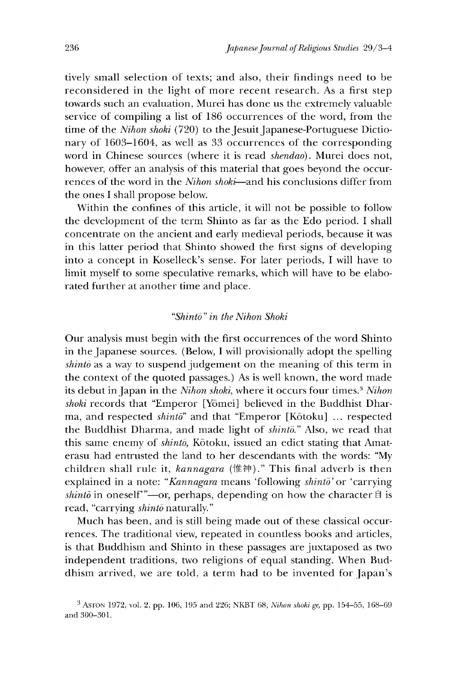tively small selection of texts; and also, their findings need to be reconsidered in the light of more recent research. As a first step towards such an evaluation, Murei has done us the extremely valuable service of compiling a list of 186 occurrences of the word, from the time of the *Nihon shoki* (720) to the Jesuit Japanese-Portuguese Dictionary of 1603-1604, as well as 33 occurrences of the corresponding word in Chinese sources (where it is read *shendao).* Murei does not, however, offer an analysis of this material that goes beyond the occurrences of the word in the *Nihon shoki*—and his conclusions differ from the ones I shall propose below.

Within the confines of this article, it will not be possible to follow the development of the term Shinto as far as the Edo period. I shall concentrate on the ancient and early medieval periods, because it was in this latter period that Shinto showed the first signs of developing into a concept in Koselleck's sense. For later periods, I will have to limit myself to some speculative remarks, which will have to be elaborated further at another time and place.

# *"Shintd ',in the Nihon Shoki*

Our analysis must begin with the first occurrences of the word Shinto in the Japanese sources. (Below, I will provisionally adopt the spelling *shinto* as a way to suspend judgement on the meaning of this term in the context of the quoted passages.) As is well known, the word made its debut in Japan in the *Nihon shoki,* where it occurs four times.3 *Nihon* shoki records that "Emperor [Yomei] believed in the Buddhist Dharma, and respected *shinto*" and that "Emperor [Kotoku] ... respected the Buddhist Dharma, and made light of *shintō*." Also, we read that this same enemy of *shinto*, Kotoku, issued an edict stating that Amaterasu had entrusted the land to her descendants with the words: "My children shall rule it, *kannagara* (惟神)." This final adverb is then explained in a note: *"Kannagara* means 'following *shinto'* or 'carrying  $\sinh\theta$  in oneself<sup>"</sup>-or, perhaps, depending on how the character  $\theta$  is read, "carrying *shinto* naturally."

Much has been, and is still being made out of these classical occurrences. The traditional view, repeated in countless books and articles, is that Buddhism and Shinto in these passages are juxtaposed as two independent traditions, two religions of equal standing. When Buddhism arrived, we are told, a term had to be invented for Japan's

<sup>&</sup>lt;sup>3</sup> Asron 1972, vol. 2, pp. 106, 195 and 226; NKBT 68, *Nihon shoki ge*, pp. 154-55, 168-69 and 300-301.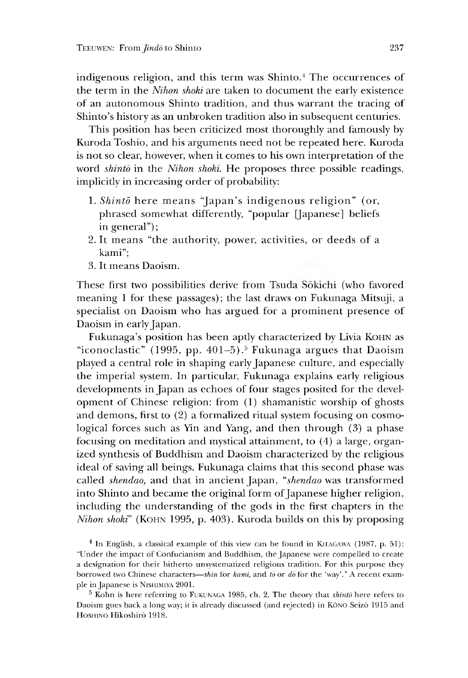indigenous religion, and this term was Shinto.4 The occurrences of the term in the *Nihon shoki* are taken to document the early existence of an autonomous Shinto tradition, and thus warrant the tracing of Shinto's history as an unbroken tradition also in subsequent centuries.

This position has been criticized most thoroughly and famously by Kuroda Toshio, and his arguments need not be repeated here. Kuroda is not so clear, however, when it comes to his own interpretation of the word *shintd* in the *Nihon shoki.* He proposes three possible readings, implicitly in increasing order of probability:

- 1*. Shintd* here means "Japan's indigenous religion" (or, phrased somewhat differently, "popular [Japanese] beliefs in general");
- 2. It means "the authority, power, activities, or deeds of a kami";
- 3. It means Daoism.

These first two possibilities derive from Tsuda Sōkichi (who favored meaning 1 for these passages); the last draws on Fukunaga Mitsuji, a specialist on Daoism who has argued for a prominent presence of Daoism in early Japan.

Fukunaga's position has been aptly characterized by Livia KOHN as "iconoclastic" (1995, pp. 401–5).<sup>5</sup> Fukunaga argues that Daoism played a central role in shaping early Japanese culture, and especially the imperial system. In particular, Fukunaga explains early religious developments in Japan as echoes of four stages posited for the development of Chinese religion: from (1) shamanistic worship of ghosts and demons, first to (2) a formalized ritual system focusing on cosmological forces such as Yin and Yang, and then through (3) a phase focusing on meditation and mystical attainment, to (4) a large, organized synthesis of Buddhism and Daoism characterized by the religious ideal of saving all beings. Fukunaga claims that this second phase was called *shendao,* and that in ancient Japan, *"shendao* was transformed into Shinto and became the original form of Japanese higher religion, including the understanding of the gods in the first chapters in the *Nihon shoki*" (KOHN 1995, p. 403). Kuroda builds on this by proposing

 $4$  In English, a classical example of this view can be found in KITAGAWA (1987, p. 51): "Under the impact ot Confucianism and Buddhism, the Japanese were compelled to create a designation for their hitherto unsystematized religious tradition. For this purpose they borrowed two Chinese characters—shin for *kami*, and *to* or *do* for the 'way'." A recent example in Japanese is Nishimiya 2001.

 $5$  Kohn is here referring to FUKUNAGA 1985, ch. 2. The theory that *shinto* here refers to Daoism goes back a long way; it is already discussed (and rejected) in Kono Seizo 1915 and Hoshino Hikoshirō 1918.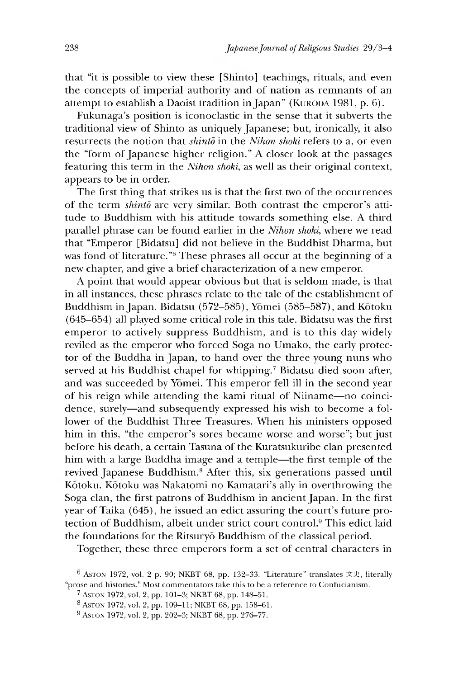that "it is possible to view these [Shinto] teachings, rituals, and even the concepts of imperial authority and of nation as remnants of an attempt to establish a Daoist tradition in Japan" (KURODA 1981, p. 6).

Fukunaga's position is iconoclastic in the sense that it subverts the traditional view of Shinto as uniquely Japanese; but, ironically, it also resurrects the notion that *shinto* in the *Nihon shoki* refers to a, or even the "form of Japanese higher religion." A closer look at the passages featuring this term in the *Nihon shoki,* as well as their original context, appears to be in order.

The first thing that strikes us is that the first two of the occurrences of the term *shintd* are very similar. Both contrast the emperor's attitude to Buddhism with his attitude towards something else. A third parallel phrase can be found earlier in the *Nihon shoki,* where we read that "Emperor [Bidatsu] did not believe in the Buddhist Dharma, but was fond of literature."<sup>6</sup> These phrases all occur at the beginning of a new chapter, and give a brief characterization of a new emperor.

A point that would appear obvious but that is seldom made, is that in all instances, these phrases relate to the tale of the establishment of Buddhism in Japan. Bidatsu (572–585), Yōmei (585–587), and Kōtoku (645-654) all played some critical role in this tale. Bidatsu was the first emperor to actively suppress Buddhism, and is to this day widely reviled as the emperor who forced Soga no Umako, the early protector of the Buddha in Japan, to hand over the three young nuns who served at his Buddhist chapel for whipping.7 Bidatsu died soon after, and was succeeded by Yomei. This emperor fell ill in the second year of his reign while attending the kami ritual of Niiname—no coincidence, surely—and subsequently expressed his wish to become a follower of the Buddhist Three Treasures. When his ministers opposed him in this, "the emperor's sores became worse and worse"; but just before his death, a certain Tasuna of the Kuratsukuribe clan presented him with a large Buddha image and a temple—the first temple of the revived Japanese Buddhism.8 After this, six generations passed until Kōtoku. Kōtoku was Nakatomi no Kamatari's ally in overthrowing the Soga clan, the first patrons of Buddhism in ancient Japan. In the first year of Taika (645), he issued an edict assuring the court's future protection of Buddhism, albeit under strict court control.9 This edict laid the foundations for the Ritsuryo Buddhism of the classical period.

Together, these three emperors form a set of central characters in

<sup>&</sup>lt;sup>6</sup> Aston 1972, vol. 2 p. 90; NKBT 68, pp. 132-33. "Literature" translates  $\dot{\mathbf{\times}}\mathbf{\mathfrak{L}}$ , literally "prose and histories." Most commentators take this to be a reference to Confucianism.

<sup>&</sup>lt;sup>7</sup> ASTON 1972, vol. 2, pp. 101-3; NKBT 68, pp. 148-51.

 $8$  Asron 1972, vol. 2, pp. 109-11; NKBT 68, pp. 158-61.

<sup>&</sup>lt;sup>9</sup> Aston 1972, vol. 2, pp. 202–3; NKBT 68, pp. 276–77.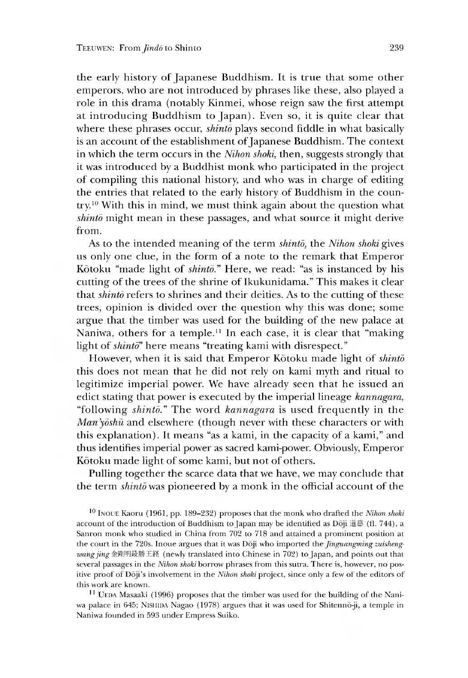the early history of Japanese Buddhism. It is true that some other emperors, who are not introduced by phrases like these, also played a role in this drama (notably Kinmei, whose reign saw the first attempt at introducing Buddhism to Japan). Even so, it is quite clear that where these phrases occur, *shinto* plays second fiddle in what basically is an account of the establishment of Japanese Buddhism. The context in which the term occurs in the *Nihon shoki,* then, suggests strongly that it was introduced by a Buddhist monk who participated in the project of compiling this national history, and who was in charge of editing the entries that related to the early history of Buddhism in the coun $try<sup>10</sup>$  With this in mind, we must think again about the question what *shintd* might mean in these passages, and what source it might derive from.

As to the intended meaning of the term *shintd,* the *Nihon shoki* gives us only one clue, in the form of a note to the remark that Emperor Kotoku "made light of *shinto*." Here, we read: "as is instanced by his cutting of the trees of the shrine of Ikukunidama." This makes it clear that *shintd* refers to shrines and their deities. As to the cutting of these trees, opinion is divided over the question why this was done; some argue that the timber was used for the building of the new palace at Naniwa, others for a temple.<sup>11</sup> In each case, it is clear that "making light of *shinto*" here means "treating kami with disrespect."

However, when it is said that Emperor Kotoku made light of *shinto* this does not mean that he did not rely on kami myth and ritual to legitimize imperial power. We have already seen that he issued an edict stating that power is executed by the imperial lineage *kannagara*, "following *shinto*." The word *kannagara* is used frequently in the *Man 'yoshu* and elsewhere (though never with these characters or with this explanation). It means "as a kami, in the capacity of a kami," and thus identifies imperial power as sacred kami-power. Obviously, Emperor Kōtoku made light of some kami, but not of others.

Pulling together the scarce data that we have, we may conclude that the term *shintd* was pioneered by a monk in the official account of the

10 Inoue Kaoru (1961, pp. 189-232) proposes that the monk who drafted the *Nihon shoki* account of the introduction of Buddhism to Japan may be identified as Dōji 道慈 (fl. 744), a Sanron monk who studied in China from 702 to 718 and attained a prominent position at the court in the 720s. Inoue argues that it was Dōji who imported the *Jinguangming zuishengwang jing* 金剛明最勝王経 (newly translated into Chinese in 702) to Japan, and points out that several passages in the *Nihon shoki* borrow phrases from this sutra. There is, however, no positive proof oi Doji's involvement in the *Nihon shoki* project, since only a few of the editors of this work are known.

 $11$  UEDA Masaaki (1996) proposes that the timber was used for the building of the Naniwa palace in 645; NISHIDA Nagao (1978) argues that it was used for Shitenno-ji, a temple in Naniwa founded in 593 under Empress Suiko.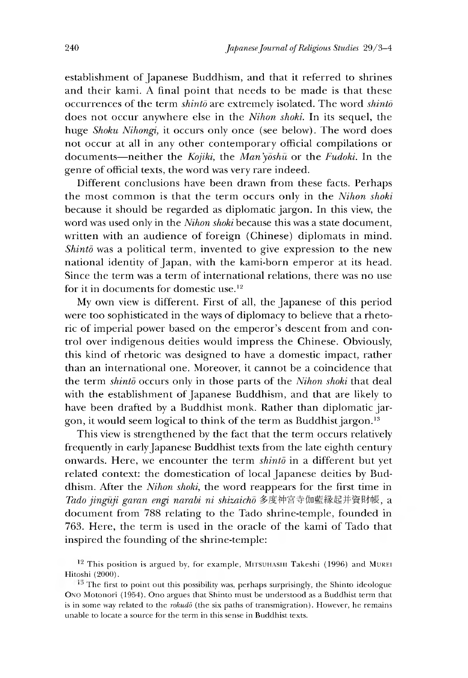establishment of Japanese Buddhism, and that it referred to shrines and their kami. A final point that needs to be made is that these occurrences of the term *shintd* are extremely isolated. The word *shintd* does not occur anywhere else in the *Nihon shoki.* In its sequel, the huge *Shoku Nihongi,* it occurs only once (see below). The word does not occur at all in any other contemporary official compilations or documents—neither the *Kojiki,* the *Man ^oshu* or the *Fudoki.* In the genre of official texts, the word was very rare indeed.

Different conclusions have been drawn from these facts. Perhaps the most common is that the term occurs only in the *Nihon shoki* because it should be regarded as diplomatic jargon. In this view, the word was used only in the *Nihon shoki* because this was a state document, written with an audience of foreign (Chinese) diplomats in mind. *Shintō* was a political term, invented to give expression to the new national identity of Japan, with the kami-born emperor at its head. Since the term was a term of international relations, there was no use for it in documents for domestic use.12

My own view is different. First of all, the Japanese of this period were too sophisticated in the ways of diplomacy to believe that a rhetoric of imperial power based on the emperor's descent from and control over indigenous deities would impress the Chinese. Obviously, this kind of rhetoric was designed to have a domestic impact, rather than an international one. Moreover, it cannot be a coincidence that the term *shintd* occurs only in those parts of the *Nihon shoki* that deal with the establishment of Japanese Buddhism, and that are likely to have been drafted by a Buddhist monk. Rather than diplomatic jargon, it would seem logical to think of the term as Buddhist jargon.13

This view is strengthened by the fact that the term occurs relatively frequently in early Japanese Buddhist texts from the late eighth century onwards. Here, we encounter the term *shintd* in a different but yet related context: the domestication of local Japanese deities by Buddhism. After the *Nihon shoki,* the word reappears for the first time in *Tado jinguji garan engi narabi ni shizaicho*多度神宮寺伽藍縁起并資財帳,a document from 788 relating to the Tado shrine-temple, founded in 763. Here, the term is used in the oracle of the kami of Tado that inspired the founding of the shrine-temple:

 $12$  This position is argued by, for example, MITSUHASHI Takeshi (1996) and MUREI Hitoshi (2000).

<sup>&</sup>lt;sup>13</sup> The first to point out this possibility was, perhaps surprisingly, the Shinto ideologue Ono Motonori (1954). Ono argues that Shinto must be understood as a Buddhist term that is in some way related to the  $\eta w \, d\bar{\theta}$  (the six paths of transmigration). However, he remains unable to locate a source for the term in this sense in Buddhist texts.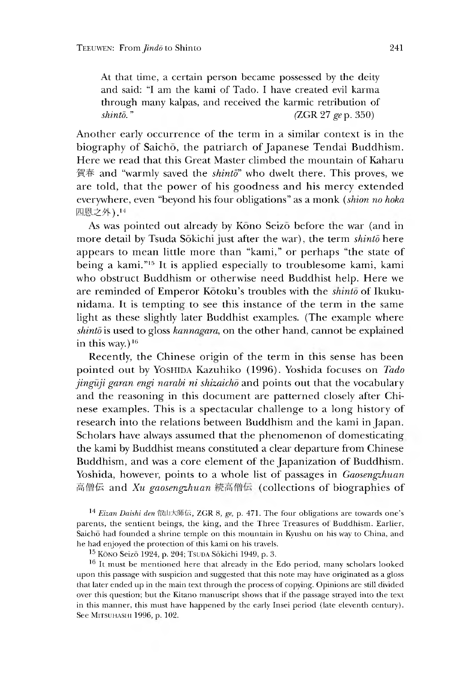At that time, a certain person became possessed by the deity and said: "I am the kami of Tado. I have created evil karma through many kalpas, and received the karmic retribution of *shintō.*" (ZGR 27 ge p. 350)

Another early occurrence of the term in a similar context is in the biography of Saichō, the patriarch of Japanese Tendai Buddhism. Here we read that this Great Master climbed the mountain of Kaharu 賀春 and "warmly saved the *shintd"* who dwelt there. This proves, we are told, that the power of his goodness and his mercy extended everywhere, even "beyond his four obligations" as a monk *(shion no hoka*) 四恩之外).14

As was pointed out already by Kono Seizo before the war (and in more detail by Tsuda Sōkichi just after the war), the term *shintō* here appears to mean little more than "kami," or perhaps "the state of being a kami."<sup>15</sup> It is applied especially to troublesome kami, kami who obstruct Buddhism or otherwise need Buddhist help. Here we are reminded of Emperor Kotoku's troubles with the *shinto* of Ikukunidama. It is tempting to see this instance of the term in the same light as these slightly later Buddhist examples. (The example where *shintō* is used to gloss *kannagara*, on the other hand, cannot be explained in this way.)<sup>16</sup>

Recently, the Chinese origin of the term in this sense has been pointed out by Yoshida Kazuhiko (1996). Yoshida focuses on *Tado jinguji garan engi narabi ni shizaicho* and points out that the vocabulary and the reasoning in this document are patterned closely after Chinese examples. This is a spectacular challenge to a long history of research into the relations between Buddhism and the kami in Japan. Scholars have always assumed that the phenomenon of domesticating the kami by Buddhist means constituted a clear departure from Chinese Buddhism, and was a core element of the Japanization of Buddhism. Yosnida, however, points to a whole list of passages in *Gaosengzhuan* 高僧伝 and *Xu gaosengzhuan* 続高僧伝 (collections of biographies of

14 *Eizan Daishi den* 叡山大師伝, ZGR 8, ge, p. 471. The four obligations are towards one's parents, the sentient beings, the king, and the Three Treasures of Buddhism. Earlier, Saicho had founded a shrine temple on this mountain in Kyushu on his way to China, and he had enjoyed the protection of this kami on his travels.

<sup>15</sup> Kōno Seizō 1924, p. 204; Tsuda Sōkichi 1949, p. 3.

<sup>16</sup> It must be mentioned here that already in the Edo period, many scholars looked upon this passage with suspicion and suggested that this note may have originated as a gloss that later ended up in the main text through the process of copying. Opinions are still divided over this question; but the Kitano manuscript shows that if the passage strayed into the text in this manner, this must have happened by the early Insei period (late eleventh century). See Mitsuhashi 1996, p. 102.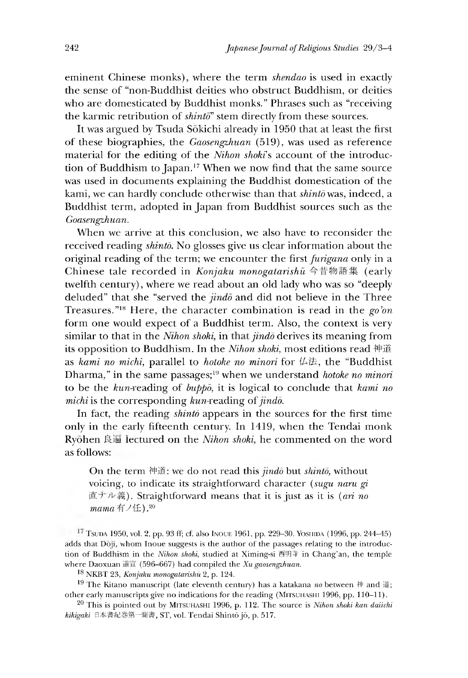eminent Chinese monks), where the term *shendao* is used in exactly the sense of "non-Buddhist deities who obstruct Buddhism, or deities who are domesticated by Buddhist monks." Phrases such as "receiving the karmic retribution of *shintd"* stem directly from these sources.

It was argued by Tsuda Sokichi already in 1950 that at least the first of these biographies, the *Gaosengzhuan* (519),was used as reference material for the editing of the *Nihon shoki*'s account of the introduction of Buddhism to Japan.17 When we now find that the same source was used in documents explaining the Buddhist domestication of the kami, we can hardly conclude otherwise than that *shintd* was, indeed, a Buddhist term, adopted in Japan from Buddhist sources such as the *Goasengzhuan.*

When we arrive at this conclusion, we also have to reconsider the received reading *shintd.* No glosses give us clear information about the original reading of the term; we encounter the first *furigana* only in a Chinese tale recorded in *Konjaku monogatarishu* 今昔物語集 (early twelfth century), where we read about an old lady who was so "deeply deluded" that she "served the *jindd* and did not believe in the Three Treasures.<sup>"18</sup> Here, the character combination is read in the *go'on* form one would expect of a Buddhist term. Also, the context is very similar to that in the *Nihon shoki*, in that jindo derives its meaning from its opposition to Buddhism. In the *Nihon shoki,* most editions read 神道 as *kami no michi,* parallel to *hotoke no minori* for 仏法,the "Buddhist Dharma," in the same passages;19 when we understand *hotoke no minori* to be the ^n-readine of *buppo,* it is logical to conclude that *kami no michi* is the corresponding *kun*-reading of *jindo*.

In fact, the reading *shintd* appears in the sources for the first time only in the early fifteenth century. In 1419, when the Tendai monk Ryohen 良遍 lectured on the *Nihon shoki*, he commented on the word as follows:

On the term 神道: we do not read this *jindo* but *shinto*, without voicing, to indicate its straightforward character *(sugu naru gi* 直ナル義). Straightforward means that it is just as it is *(ari no* mama 有/任).<sup>20</sup>

Tsuda 1950, vol.2, pp. 93 ff; cf. also Inoue 1961 pp. 229-30. Yoshida (1996, pp. 244-45) adds that Dōji, whom Inoue suggests is the author of the passages relating to the introduction of Buddhism in the *Nihon shoki*, studied at Ximing-si 西明寺 in Chang'an, the temple where Daoxuan 道宣 (596-667) had compiled the *Xu gaosengzhuan*.

18 NKBT 23, *Konjaku monogatarishu 2,* p. 124.

<sup>19</sup> The Kitano manuscript (late eleventh century) has a katakana *no* between 神 and 道; other early manuscripts give no indications for the reading (MITSUHASHI 1996, pp. 110-11).

20 This is pointed out by Mitsuhashi 1996, p. 112. The source is *Nihon shoki kan daiichi kikigaki* 日本書紀巻第一聞書,ST, vol. Tendai Shinto jo, p. 517.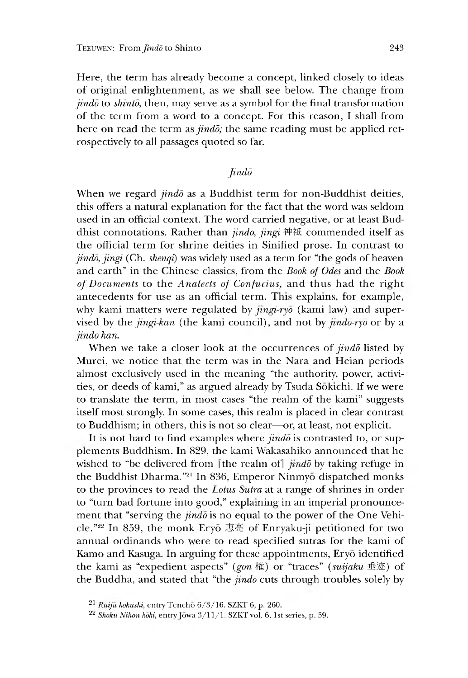Here, the term has already become a concept, linked closely to ideas of original enlightenment, as we shall see below. The change from *jindd* to *shintd,* then, may serve as a symbol for the final transformation of the term from a word to a concept. For this reason, I shall from here on read the term as *jindo*; the same reading must be applied retrospectively to all passages quoted so far.

# *Jindd*

When we regard *jindo* as a Buddhist term for non-Buddhist deities, this offers a natural explanation for the fact that the word was seldom used in an official context. The word carried negative, or at least Buddhist connotations. Rather than *jindō*, *jingi* 神祇 commended itself as the official term for shrine deities in Sinified prose. In contrast to *jindō, jingi* (Ch. *shenqi*) was widely used as a term for "the gods of heaven and earth" in the Chinese classics, from the *Book of Odes* and the *Book of Documents* to the *Analects of Confucius,* and thus had the right antecedents for use as an official term. This explains, for example, why kami matters were regulated by *jingi-ryo* (kami law) and supervised by the *jingi-kan* (the kami council), and not by *jindo-ryo* or by a  $jind\bar{o}$ -kan.

When we take a closer look at the occurrences of *jindo* listed by Murei, we notice that the term was in the Nara and Heian periods almost exclusively used in the meaning "the authority, power, activities, or deeds of kami," as argued already by Tsuda Sokichi. If we were to translate the term, in most cases "the realm of the kami" suggests itself most strongly. In some cases, this realm is placed in clear contrast to Buddhism; in others, this is not so clear—or, at least, not explicit.

It is not hard to find examples where *jindo* is contrasted to, or supplements Buddhism. In 829, the kami Wakasahiko announced that he wished to "be delivered from [the realm of] *jindo* by taking refuge in the Buddhist Dharma."<sup>21</sup> In 836, Emperor Ninmyo dispatched monks to the provinces to read the *Lotus Sutra* at a ranee of shrines in order to "turn bad fortune into good," explaining in an imperial pronouncement that "serving the *jindo* is no equal to the power of the One Vehicle."<sup>22</sup> In 859, the monk Eryo 恵亮 of Enryaku-ji petitioned for two annual ordinands who were to read specified sutras for the kami of Kamo and Kasuga. In arguing for these appointments, Eryo identified the kami as "expedient aspects" (gon 権) or "traces" (suijaku 垂迹) of the Buddha, and stated that "the *jindo* cuts through troubles solely by

 $21$  *Ruijū kokushi,* entry Tencho  $6/3/16$ . SZKT 6, p. 260.

<sup>22</sup> *Shoku Nihon koki,* entry Jowa 3/11/1. SZKT vol.6 ,1st series, p. 59.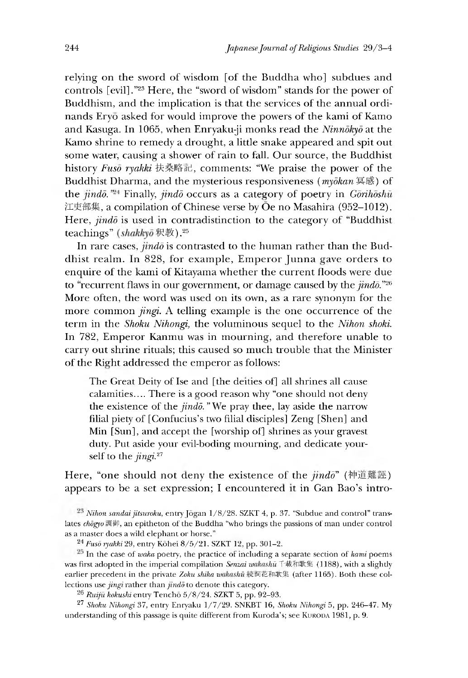relying on the sword of wisdom [of the Buddha who] subdues and controls [evil]."23 Here, the "sword of wisdom" stands for the power of Buddhism, and the implication is that the services of the annual ordinands Eryo asked for would improve the powers of the kami of Kamo and Kasuga. In 1065,when Enryaku-ji monks read the *Ninndkyd* at the Kamo shrine to remedy a drought, a little snake appeared and spit out some water, causing a shower of rain to fall. Our source, the Buddhist history *Fuso ryakki* 扶桑略記, comments: "We praise the power of the Buddhist Dharma, and the mysterious responsiveness *(mydkan 冥感*、of the *jindo*.<sup>724</sup> Finally, *jindo* occurs as a category of poetry in *Gorihoshu* 江吏部集,a compilation of Chinese verse by Oe no Masahira (952-1012). Here, *jindō* is used in contradistinction to the category of "Buddhist" teachings" (shakkyō 釈教).  $25$ 

In rare cases, *jindo* is contrasted to the human rather than the Buddhist realm. In 828, for example, Emperor Junna gave orders to enquire of the kami of Kitayama whether the current floods were due to "recurrent flaws in our government, or damage caused by the *jindd.^26* More often, the word was used on its own, as a rare synonym for the more common *jingi.* A telling example is the one occurrence of the term in the *Shoku Nihongi,* the voluminous sequel to the *Nihon shoki.* In 782, Emperor Kanmu was in mourning, and therefore unable to carry out shrine rituals; this caused so much trouble that the Minister of the Right addressed the emperor as follows:

The Great Deity of Ise and [the deities of] all shrines all cause calamities.... There is a good reason why "one should not deny the existence of the *jindo*. "We pray thee, lay aside the narrow filial piety of [Confucius's two filial disciples] Zeng [Shen] and Min [Sun], and accept the [worship of] shrines as your gravest duty. Put aside your evil-boding mourning, and dedicate yourself to the *jingi.21*

# Here, "one should not deny the existence of the *jindo*" (神道難誣) appears to be a set expression; I encountered it in Gan Bao's intro-

<sup>23</sup> Nihon sandai jitsuroku, entry Jōgan 1/8/28. SZKT 4, p. 37. "Subdue and control" translates *ckdgyo 調御*,an epitheton of the Buddha "who brings the passions of man under control as a master does a wild elephant or horse."

<sup>25</sup> In the case of *waka* poetry, the practice of including a separate section of *kami* poems was first adopted in the imperial compilation *Senzai wakashu* 千載和歌集 (1188), with a slightly earlier precedent in the private *Zoku shika wakashu* 続詞花和歌集 (after 1165). Both these collections use *jingi* rather than *jindō* to denote this category.

26 *Ruiju kokushi* entry Tencho 5/8/24. SZKT 5, pp. 92-93.

27 *Shoku Nihongi* 37, entry Enryaku 1/7/29. SNKBT 16, *Shoku Nihongi* 5, pp. 246-47. My understanding of this passage is quite different from Kuroda's; see KURODA 1981, p. 9.

*<sup>24</sup> Fuso ryakki* 29, entry Kohei 8/5/21. SZKT 12, pp. 301-2.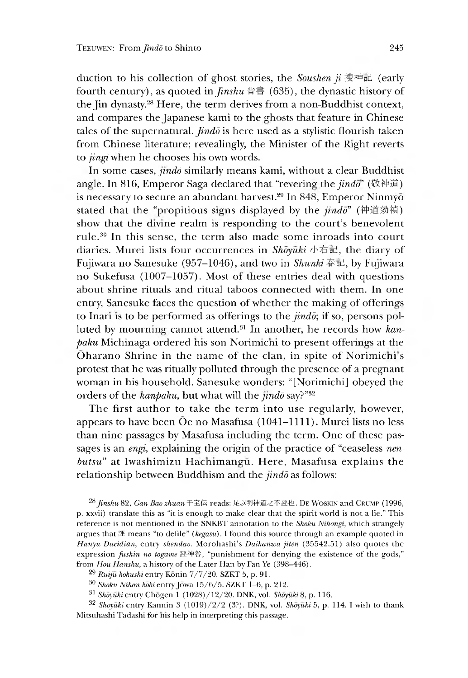duction to his collection of ghost stories, the *Soushen ji* 搜神記 (early fourth century), as quoted in *Jinshu* 晋書 (635), the dynastic history of the Jin dynasty.28 Here, the term derives from a non-Buddhist context, and compares the Japanese kami to the ghosts that feature in Chinese tales of the supernatural. *Jindd* is here used as a stylistic flourish taken from Chinese literature; revealingly, the Minister of the Right reverts to *jingi* when he chooses his own words.

In some cases, *jindd* similarly means kami, without a clear Buddhist angle. In 816, Emperor Saga declared that "revering the *jindo*" (敬神道) is necessary to secure an abundant harvest.<sup>29</sup> In 848, Emperor Ninmyo stated that the "propitious signs displayed by the *jindd"* (神道効禎) show that the divine realm is responding to the court's benevolent rule.30 In this sense, the term also made some inroads into court diaries. Murei lists four occurrences in *Shovuki* 小右記, the diary of Fujiwara no Sanesuke (957–1046), and two in *Shunki* 春記, by Fujiwara no Sukefusa (1007-1057). Most of these entries deal with questions about shrine rituals and ritual taboos connected with them. In one entry, Sanesuke faces the question of whether the making of offerings to Inari is to be performed as offerings to the *jindo*; if so, persons polluted by mourning cannot attend.31 In another, he records how *kanpaku* Michinaga ordered his son Norimichi to present offerings at the Oharano Shrine in the name of the clan, in spite of Norimichi's protest that he was ritually polluted through the presence of a pregnant woman in his household. Sanesuke wonders: "[Norimichi] obeyed the orders of the *kanpaku*, but what will the *jindo* say?"<sup>32</sup>

The first author to take the term into use regularly, however, appears to have been Oe no Masafusa (1041-1111). Murei lists no less than nine passages by Masafusa including the term. One of these passages is an *engi,* explaining the origin of the practice of "ceaseless *nenbutsu*" at Iwashimizu Hachimangu. Here, Masafusa explains the relationship between Buddhism and the *jindo* as follows:

*Jinshu* 82, *Gan Bao zhuan* 干宝伝 reads:足以明神道之不評也. De Woskin and Crump (1996, p. xxvii) translate this as "it is enough to make clear that the spirit world is not a lie." This reference is not mentioned in the SNKBT annotation to the *Shoku Nihongi,* which strangely argues that means "to defile" *(kegasu).* I found this source through an example quoted in *Hanyu Dacidian,* entry *shendao.* Morohashi's *Daikanwa jiten* (35542.51) also quotes the expression *fushin no togame* 誣神咎, "punishment for denying the existence of the gods," from *Hou Hanshu,* a history of the Later Han by Fan Ye (398-446).

<sup>29</sup> *Ruiju kokushi* entry Konin 7/7/20. SZKT 5, p. 91.

<sup>30</sup> *Shoku Nihon koki* entry Jowa 15/6/5. SZKT 1-6, p. 212.

<sup>31</sup> *Shoyuki* entry Chogen 1 (1028)/12/20. DNK, vol. *Shoyuki* 8 p. 116.

<sup>32</sup> *Shoyuki* entry Kannin 3 (1019)/2/2 (3?). DNK vol. *Shoyuki* 5, p. 114. I wish to thank Mitsuhashi Tadashi for his help in interpreting this passage.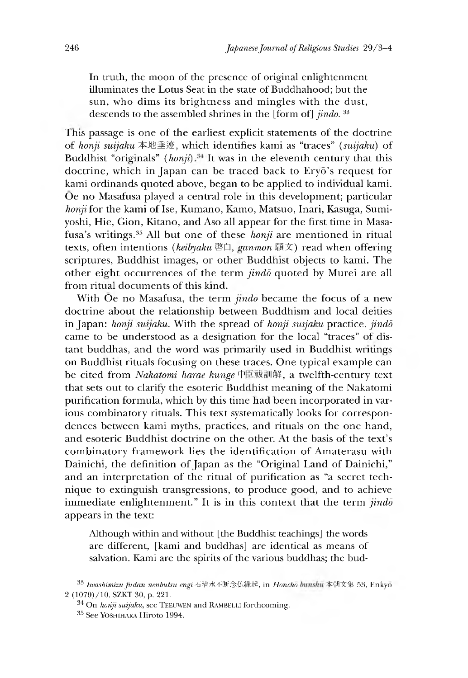In truth, the moon of the presence of original enlightenment illuminates the Lotus Seat in the state of Buddhahood; but the sun, who dims its brightness and mingles with the dust, descends to the assembled shrines in the [form of] *jindd*. 33

Ihis passage is one of the earliest explicit statements of the doctrine of *honji suijaku* 本地垂迹,w hich identifies kami as "traces" *(suijaku)* of Buddhist "originals"  $(honji)$ .<sup>34</sup> It was in the eleventh century that this doctrine, which in Japan can be traced back to Eryō's request for kami ordinands quoted above, began to be applied to individual kami. Oe no Masafusa played a central role in this development; particular *honji* for the kami of Ise, Kumano, Kamo, Matsuo, Inari, Kasuga, Sumiyoshi, Hie, Gion, Kitano, and Aso all appear for the first time in Masafusa's writings.35 All but one of these *honji* are mentioned in ritual texts, often intentions (keibyaku 啓白, ganmon 願文) read when offering scriptures, Buddhist images, or other Buddhist objects to kami. The other eight occurrences of the term *jindō* quoted by Murei are all from ritual documents of this kind.

With Oe no Masafusa, the term *jindo* became the focus of a new doctrine about the relationship between Buddhism and local deities in Japan: *honji suijaku.* With the spread of *honji suijaku* practice, *jindd* came to be understood as a designation for the local "traces" of distant buddhas, and the word was primarily used in Buddhist writings on Buddnist rituals focusing on these traces. One typical example can be cited from *Nakatomi harae kunge* 中駆訓角率,a twelfth-century text that sets out to clarify the esoteric Buddhist meaning of the Nakatomi purification formula, which by this time had been incorporated in various combinatory rituals. This text systematically looks for correspondences between kami myths, practices, and rituals on the one hand, and esoteric Buddhist doctrine on the other. At the basis of the text's combinatory framework lies the identification of Amaterasu with Dainichi, the definition of Japan as the "Original Land of Dainichi," and an interpretation of the ritual of purification as "a secret technique to extinguish transgressions, to produce good,and to achieve immediate enlightenment." It is in this context that the term *jindd* appears in the text:

Although within and without [the Buddhist teachings] the words are different, [kami and buddhas] are identical as means of salvation. Kami are the spirits of the various buddhas; the bud-

<sup>33</sup> *Iwashimizu fudan nenbutsu engi* 石清水不断念仏縁起, in *Honcho* bunshu 本朝文集 53, Enkyo 2 (1070)/10. SZKT 30, p. 221.

<sup>&</sup>lt;sup>34</sup> On *honji suijaku*, see TEEUWEN and RAMBELLI forthcoming.

<sup>35</sup> See YOSHIHARA Hiroto 1994.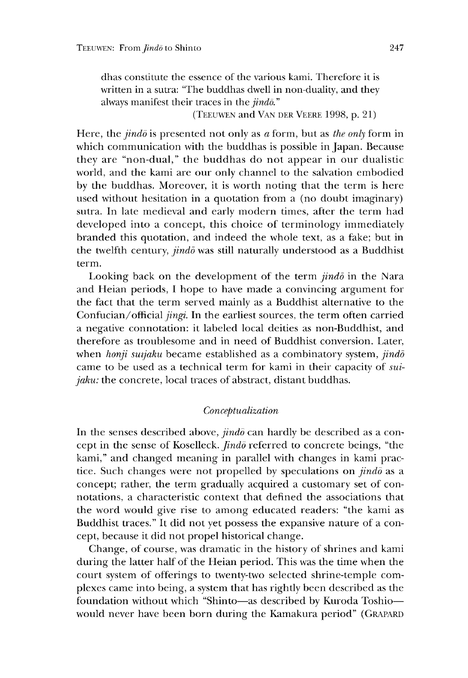dhas constitute the essence of the various kami. Therefore it is written in a sutra: "The buddhas dwell in non-duality, and they always manifest their traces in *the jindd."*

(TEEUWEN and VAN DER VEERE 1998, p. 21)

Here, the *jindd* is presented not only as *a* form, but as *the only* form in which communication with the buddhas is possible in Japan. Because they are "non-dual," the buddhas do not appear in our dualistic world, and the kami are our only channel to the salvation embodied by the buddhas. Moreover, it is worth noting that the term is here used without hesitation in a quotation from a (no doubt imaginary) sutra. In late medieval and early modern times, after the term had developed into a concept, this choice of terminology immediately branded this quotation, and indeed the whole text, as a fake; but in the twelfth century, *jindd* was still naturally understood as a Buddhist term.

Looking back on the development of the term *jindo* in the Nara and Heian periods, I hope to have made a convincing argument for the fact that the term served mainly as a Buddhist alternative to the Confucian/official *jingi.* In the earliest sources, the term often carried a negative connotation: it labeled local deities as non-Buddhist, and therefore as troublesome and in need of Buddhist conversion. Later, when *honji suijaku* became established as a combinatory system, *jindd* came to be used as a technical term for kami in their capacity of *suijaku:* the concrete, local traces of abstract, distant buddhas.

#### *Conceptualization*

In the senses described above, *jindo* can hardly be described as a concept in the sense of Koselleck. *Jindd* referred to concrete beings, "the kami," and changed meaning in parallel with changes in kami practice. Such changes were not propelled by speculations on *jindo* as a concept; rather, the term gradually acquired a customary set of connotations, a characteristic context that defined the associations that the word would give rise to among educated readers: "the kami as Buddhist traces." It did not yet possess the expansive nature of a concept, because it did not propel historical change.

Change, of course, was dramatic in the history of shrines and kami during the latter half of the Heian period. This was the time when the court system of offerings to twenty-two selected shrine-temple complexes came into being, a system that has rightly been described as the foundation without which "Shinto—as described by Kuroda Toshio would never have been born during the Kamakura period" (GRAPARD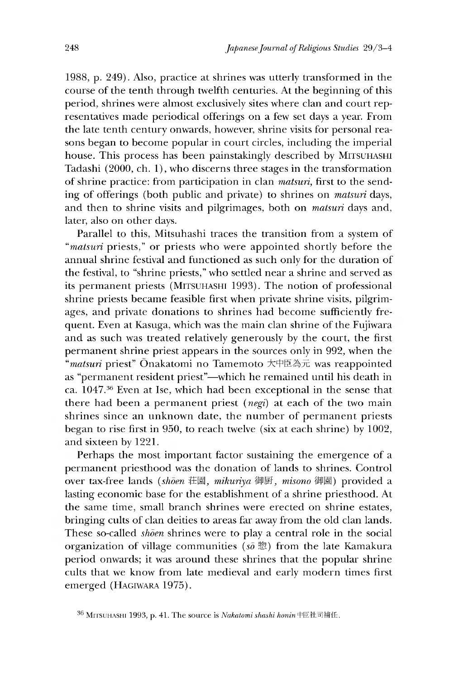1988, p. 249). Also, practice at shrines was utterly transformed in the course of the tenth through twelfth centuries. At the beginning of this period, shrines were almost exclusively sites where clan and court representatives made periodical offerings on a few set days a year. From the late tenth century onwards, however, shrine visits for personal reasons began to become popular in court circles, including the imperial house. This process has been painstakingly described by MITSUHASHI Tadashi (2000, ch. 1), who discerns three stages in the transformation of shrine practice: from participation in clan *matsuri,* first to the sending of offerings (both public and private) to shrines on *matsuri* days, and then to shrine visits and pilgrimages, both on *matsuri* days and, later, also on other days.

Parallel to this, Mitsuhashi traces the transition from a system of *"matsuri* priests," or priests who were appointed shortly before the annual shrine festival and functioned as such only for the duration of the festival, to "shrine priests," who settled near a shrine and served as its permanent priests (MITSUHASHI 1993). The notion of professional shrine priests became feasible first when private shrine visits, pilgrimages, and private donations to shrines had become sufficiently frequent. Even at Kasuga, which was the main clan shrine of the Fujiwara and as such was treated relatively generously by the court, the first permanent shrine priest appears in the sources only in 992, when the *"matsuri* priest" Onakatomi no Tamemoto 大中臣為元 was reappointed as "permanent resident priest"—which he remained until his death in ca.1047.36 Even at Ise, which had been exceptional in the sense that there had been a permanent priest (*negi)* at each of the two main shrines since an unknown date, the number of permanent priests began to rise first in 950, to reach twelve (six at each shrine) by 1002, and sixteen by 1221.

Perhaps the most important factor sustaining the emergence of a permanent priesthood was the donation of lands to shrines, control over tax-free lands *(shoen* 荘園*,mikuriya* 御厨*,misono* 御園) provided a lasting economic base for the establishment of a shrine priesthood. At the same time, small branch shrines were erected on shrine estates, bringing cults of clan deities to areas far away from the old clan lands. These so-called *shoen* shrines were to play a central role in the social organization of village communities (so 惣) from the late Kamakura period onwards; it was around these shrines that the popular shrine cults that we know from late medieval and early modern times first emerged (HAGIWARA 1975).

<sup>36</sup> MITSUHASHI 1993, p. 41. The source is *Nakatomi shashi honin* 中臣社司補任.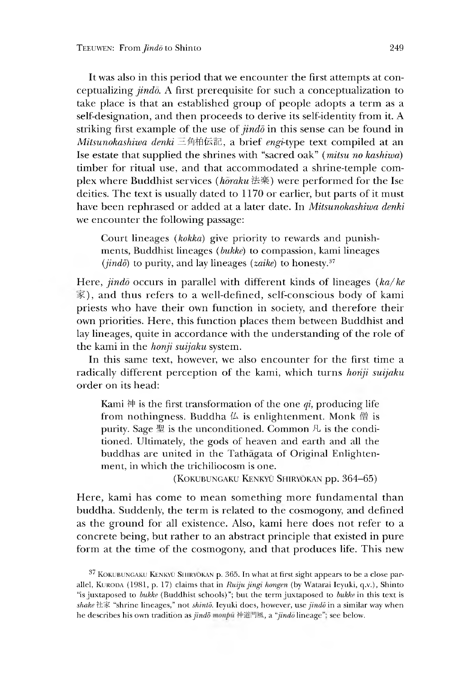It was also in this period that we encounter the first attempts at conceptualizing *jindd.* A first prerequisite for such a conceptualization to take place is that an established group of people adopts a term as a self-designation, and then proceeds to derive its self-identity from it. A striking first example of the use of *jindo* in this sense can be found in *Mitsunokashiwa denki* ニ角柏伝記,a brief *engi-typc* text compiled at an Ise estate that supplied the shrines with "sacred oak" *(mitsu no kashiwa)* timber for ritual use, and that accommodated a shrine-temple complex where Buddhist services *(horaku* 法楽)were performed for the Ise deities. The text is usually dated to 1170 or earlier, but parts of it must have been rephrased or added at a later date. In *Mitsunokashiwa denki* we encounter the following passage:

Court lineages *(kokka)* give priority to rewards and punishments, Buddhist lineages *(bukke)* to compassion, kami lineages *{jindd)* to purity, and lay lineages *(zaike)* to honesty.37

Here, *jindd* occurs in parallel with different kinds of lineages *(ka/ke* 家), and thus refers to a well-defined, self-conscious body of kami priests who have their own function in society, and therefore their own priorities. Here, this function places them between Buddhist and lay lineages, quite in accordance with the understanding of the role of the kami in the *honji suijaku* system.

In this same text, however, we also encounter for the first time a radically different perception of the kami, which turns *honji suijaku* order on its head:

Kami  $\ddot{m}$  is the first transformation of the one  $qi$ , producing life from nothingness. Buddha  $\mathcal{L}$  is enlightenment. Monk 僧 is purity. Sage  $\mathbb{E}$  is the unconditioned. Common  $\mathcal{R}$  is the conditioned. Ultimately, the gods of heaven and earth and all the buddhas are united in the Tathagata of Original Enlightenment, in which the trichiliocosm is one.

(KOKUBUNGAKU KENKYU SHIRYOKAN pp. 364-65)

Here, kami has come to mean something more fundamental than buddha. Suddenly, the term is related to the cosmogony, and defined as the ground for all existence. Also, kami here does not refer to a concrete being, but rather to an abstract principle that existed in pure form at the time of the cosmogony, and that produces life. This new

<sup>&</sup>lt;sup>37</sup> KOKUBUNGAKU KENKYŪ SHIRYŌKAN p. 365. In what at first sight appears to be a close parallel, KURODA (1981, p. 17) claims that in *Ruiju jingi hongen* (by Watarai Ieyuki, q.v.), Shinto "is juxtaposed to *bukke* (Buddhist schools) "; but the term juxtaposed to *bukke* in this text is *shake* 社家 "shrine lineages," not *shintō*. Ieyuki does, however, use *jindō* in a similar way when he describes his own tradition as *jindo* monpū 神道門風, a "*jindo* lineage"; see below.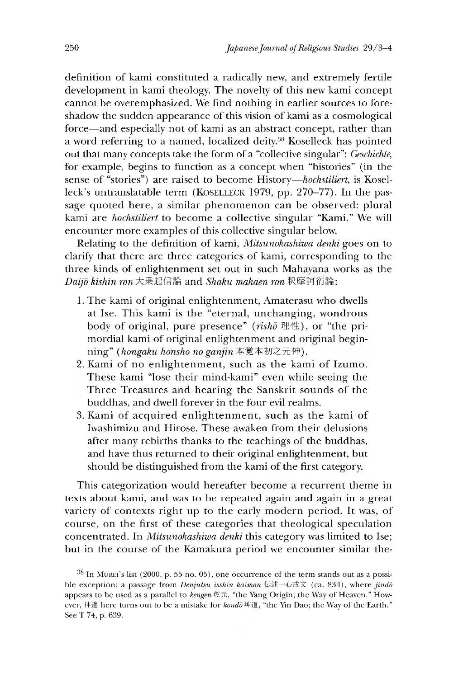definition of kami constituted a radically new, and extremely fertile development in kami theology. The novelty of this new kami concept cannot be overemphasized. We find nothing in earlier sources to foreshadow the sudden appearance of this vision of kami as a cosmological force—and especially not of kami as an abstract concept, rather than a word referring to a named, localized deity.38 Koselleck has pointed out that many concepts take the form of a "collective singular":*Geschichte,* for example, begins to function as a concept when "histories" (in the sense of "stories") are raised to become History—hochstiliert, is Koselleck's untranslatable term (KOSELLECK 1979, pp. 270-77). In the passage quoted here, a similar phenomenon can be observed: plural kami are *hochstiliert* to become a collective singular "Kami." We will encounter more examples of this collective singular below.

Relating to the definition of kami, *Mitsunokashiwa denki* goes on to clarify that there are three categories of kami, corresponding to the three kinds of enlightenment set out in such Mahayana works as the *Daijo kishin ron* 大乗起信論 and *Shaku makaen ron* 釈摩訶衍論:

- 1.The kami of original enlightenment, Amaterasu who dwells at Ise. This kami is the "eternal, unchanging, wondrous body of original, pure presence" (rishō 理性), or "the primordial kami of original enlightenment and original beginning" (hongaku honsho no ganjin 本覚本初之元神).
- 2. Kami of no enlightenment, such as the kami of Izumo. 1 hese kami "lose their mind-kami" even while seeing the Three Treasures and hearing the Sanskrit sounds of the buddhas, and dwell forever in the four evil realms.
- 3. Kami of acquired enlightenment, such as the kami of Iwashimizu and Hirose. Ihese awaken from their delusions after many rebirths thanks to the teachings of the buddhas, and have thus returned to their original enlightenment, but should be distinguished from the kami of the first category.

This categorization would hereafter become a recurrent theme in texts about kami, and was to be repeated again and again in a great variety of contexts right up to the early modern period. It was, of course, on the first of these categories that theological speculation concentrated. In *Mitsunokashiwa denki* this category was limited to Ise; but in the course of the Kamakura period we encounter similar the-

 $38$  In MUREI's list (2000, p. 55 no. 05), one occurrence of the term stands out as a possible exception: a passage from *Denjutsu isshin kaimon* 伝述一心戒文 (ca. 834), where *jindō* appears to be used as a parallel to *kengen* 乾元,"the Yang Origin; the Way of Heaven." However, 神道 here turns out to be a mistake for *kondo* 坤道, "the Ym Dao; the Way of the Earth." See T 74, p. 639.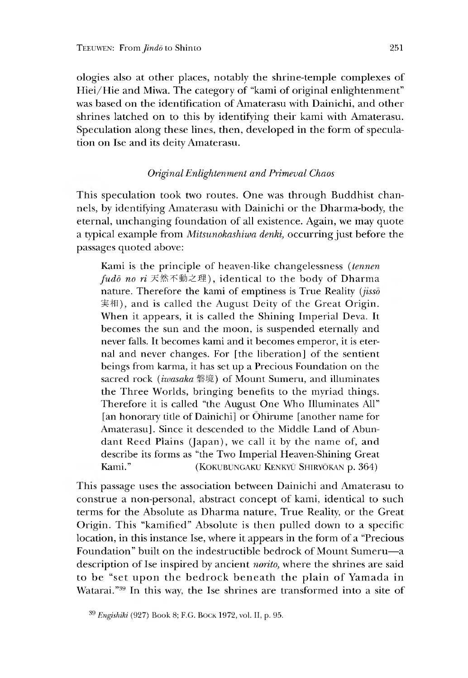ologies also at other places, notably the shrine-temple complexes of Hiei/Hie and Miwa. The category of "kami of original enlightenment" was based on the identification of Amaterasu with Dainichi, and other shrines latched on to this by identifying their kami with Amaterasu. Speculation along these lines, then, developed in the form of speculation on Ise and its deity Amaterasu.

# *Original Enlightenment and Primeval Chaos*

Ihis speculation took two routes. One was through Buddhist channels, by identifying Amaterasu with Dainichi or the Dharma-body, the eternal, unchanging foundation of all existence. Again, we may quote a typical example from *Mitsunokashiwa denki,* occurring just before the passages quoted above:

Kami is the principle of heaven-like changelessness *(tennen fudd no ri* 天然不動之理),identical to the body of Dharma nature. Therefore the kami of emptiness is True Reality *{jisso* 実相),and is called the August Deity of the Great Origin. When it appears, it is called the Shining Imperial Deva. It becomes the sun and the moon, is suspended eternally and never falls. It becomes kami and it becomes emperor, it is eternal and never changes. For [the liberation] of the sentient beings from karma, it has set up a Precious Foundation on the sacred rock *(iwasaka* 磐境) of Mount Sumeru, and illuminates the Three Worlds, bringing benefits to the myriad things. Therefore it is called "the August One Who Illuminates All" [an honorary title of Dainichi] or Ohirume [another name for Amaterasu]. Since it descended to the Middle Land of Abundant Reed Plains (Japan), we call it by the name of, and describe its forms as "the Two Imperial Heaven-Shining Great Kami." (KOKUBUNGAKU KENKYU SHIRYOKAN p. 364)

1 his passage uses the association between Dainichi and Amaterasu to construe a non-personal, abstract concept of kami, identical to such terms for the Absolute as Dharma nature, True Reality, or the Great Origin. Ihis "kamified" Absolute is then pulled down to a specific location, in this instance Ise, where it appears in the form of a "Precious Foundation" built on the indestructible bedrock of Mount Sumeru—a description of Ise inspired by ancient *norito*, where the shrines are said to be "set upon the bedrock beneath the plain of Yamada in Watarai."39 In this way, the Ise shrines are transformed into a site of

<sup>&</sup>lt;sup>39</sup> *Engishiki* (927) Book 8; F.G. BOCK 1972, vol. II, p. 95.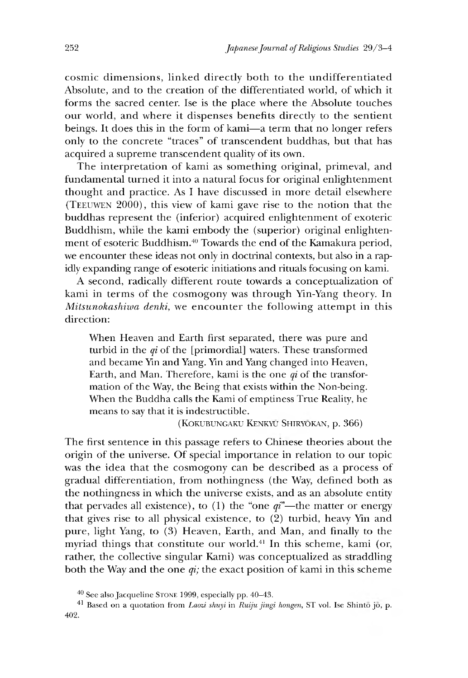cosmic dimensions, linked directly both to the undifferentiated Absolute, and to the creation of the differentiated world, of which it forms the sacred center. Ise is the place where the Absolute touches our world, and where it dispenses benefits directly to the sentient beings. It does this in the form of kami—a term that no longer refers only to the concrete "traces" of transcendent buddhas, but that has acquired a supreme transcendent quality of its own.

The interpretation of kami as something original, primeval, and fundamental turned it into a natural focus for original enlightenment thought and practice. As I have discussed in more detail elsewhere (TEEUWEN  $2000$ ), this view of kami gave rise to the notion that the buddhas represent the (inferior) acquired enlightenment of exoteric Buddhism, while the kami embody the (superior) original enlightenment of esoteric Buddhism.40 Towards the end of the Kamakura period, we encounter these ideas not only in doctrinal contexts, but also in a rapidly expanding range of esoteric initiations and rituals focusing on kami.

A second, radically different route towards a conceptualization of kami in terms of the cosmogony was through Yin-Yang theory. In *Mitsunokashiwa denki,* we encounter the following attempt in this direction:

When Heaven and Earth first separated, there was pure and turbid in the *qi* of the [primordial] waters. These transformed and became *Ym* and Yang. *Ym* and Yang changed into Heaven, Earth, and Man. Therefore, kami is the one *qi* of the transformation of the Way, the Being that exists within the Non-being. When the Buddha calls the Kami of emptiness True Reality, he means to say that it is indestructible.

(Kokubungaku Kenkyu Shiryokan, p. 366)

The first sentence in this passage refers to Chinese theories about the origin of the universe. Of special importance in relation to our topic was the idea that the cosmogony can be described as a process of gradual differentiation, from nothingness (the Way, defined both as the nothingness in which the universe exists, and as an absolute entity that pervades all existence), to  $(1)$  the "one  $qi$ "—the matter or energy that gives rise to all physical existence, to (2) turbid, heavy *Ym* and pure, light Yang, to (3) Heaven, Earth, and Man, and finally to the myriad things that constitute our world.41 In this scheme, kami (or, rather, the collective singular Kami) was conceptualized as straddling both the Way and the one *qi;* the exact position of kami in this scheme

 $40$  See also Jacqueline STONE 1999, especially pp.  $40-43$ .

<sup>41</sup> Based on a quotation from *Laozi shuyi* in *Ruiju jingi hongen,* ST vol. Ise Shinto jo, p. 402.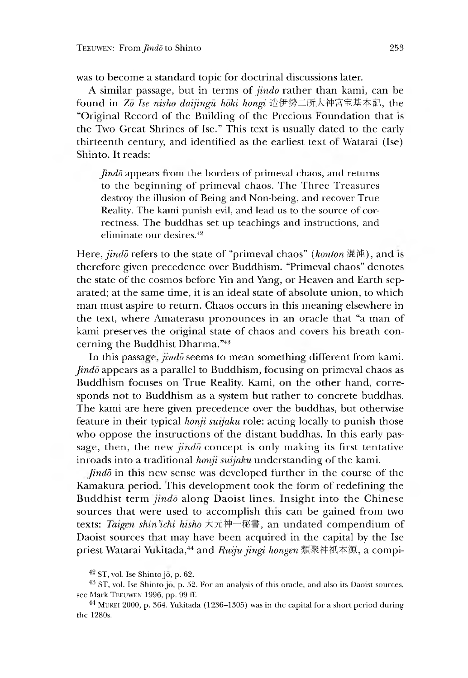was to become a standard topic for doctrinal discussions later.

A similar passage, but in terms of *jindd* rather than kami, can be found in *Zo Ise nisho daijingu hoki hongi* 造伊勢ニ所大神宮宝基本記,the "Original Record of the Building of the Precious foundation that is the Two Great Shrines of Ise." This text is usually dated to the early thirteenth century, and identified as the earliest text of Watarai (Ise) Sninto. It reads:

*Jindd* appears from the borders of primeval chaos, and returns to the beginning of primeval chaos. The Three Treasures destroy the illusion of Being and Non-being, and recover True Reality. The kami punish evil, and lead us to the source of correctness. The buddhas set up teachings and instructions, and eliminate our desires.42

Here, *jindō* refers to the state of "primeval chaos" (konton 混沌), and is therefore given precedence over Buddhism. "Primeval chaos" denotes the state of the cosmos before *Ym* and Yang, or Heaven and Earth separated; at the same time, it is an ideal state of absolute union, to which man must aspire to return. Chaos occurs in this meaning elsewhere in the text, where Amaterasu pronounces in an oracle that "a man of kami preserves the original state of chaos and covers his breath concerning the Buddhist Dharma."43

In this passage, *jindd* seems to mean something different from kami. *Jindo* appears as a parallel to Buddhism, focusing on primeval chaos as Buddhism focuses on True Reality. Kami, on the other hand, corresponds not to Buddhism as a system but rather to concrete buddhas. The kami are here given precedence over the buddhas, but otherwise feature in their typical *honji suijaku* role: acting locally to punish those who oppose the instructions of the distant buddhas. In this early passage, then, the new  $\ddot{\textit{j}}$  *indo* concept is only making its first tentative inroads into a traditional *honji suijaku* understanding of the kami.

*Jindd* in this new sense was developed further in the course of the Kamakura period. This development took the form of redefining the Buddhist term *jindō* along Daoist lines. Insight into the Chinese sources that were used to accomplish this can be gained from two texts: *Taigen shin'ichi hisho* 大元神一秘書, an undated compendium of Daoist sources that may have been acquired in the capital by the Ise priest Watarai Yukitada,44 and *Ruiju jingi hongen* 類聚神祇本源,a compi-

 $42$  ST, vol. Ise Shinto jo, p. 62.

 $43$  ST, vol. Ise Shinto jo, p. 52. For an analysis of this oracle, and also its Daoist sources, see Mark Teeuwen 1996, pp. 99 ff.

 $^{44}$  MUREI 2000, p. 364. Yukitada (1236–1305) was in the capital for a short period during the 1280s.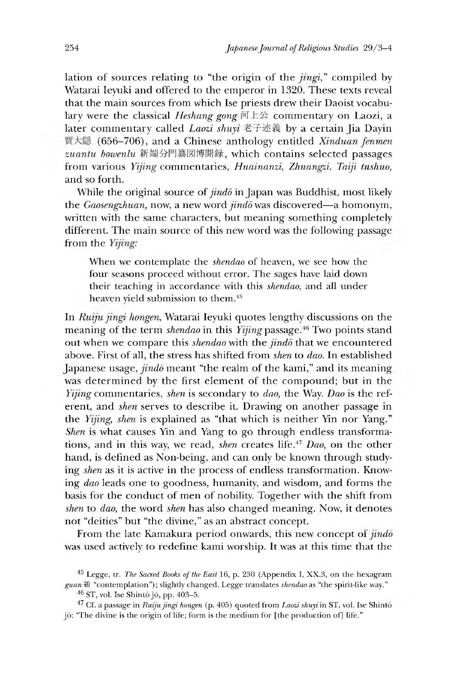lation of sources relating to "the origin of the *jingi,"* compiled by Watarai Ieyuki and offered to the emperor in 1320. These texts reveal that the main sources from which Ise priests drew their Daoist vocabulary were the classical *Heshang gong* 河上公 commentary on Laozi, a later commentary called *Laozi shuyi* 老卞述美 by a certain Jia Dayin (65b-706), and a Chinese anthology entitled *Xinduan fenmen zuantu bowenlu* 新端分門纂図博聞録,which contains selected passages irom various *Yijiuq-* commentaries, *Huamanzi, Zhuangzi, Tatjt tushuo,* and so forth.

While the original source of *jindo* in Japan was Buddhist, most likely the *Gaosengzhuan*, now, a new word *jindo* was discovered—a homonym, written with the same characters, but meaning something completely different. The main source of this new word was the following passage from the Yijing:

When we contemplate the *shendao* of heaven, we see how the four seasons proceed without error. The sages have laid down their teaching in accordance with this *shendao,* and all under heaven yield submission to them.45

In *Ruiju jingi hongen*, Watarai Ieyuki quotes lengthy discussions on the meaning of the term *shendao* in this *Yijing* passage.<sup>46</sup> Two points stand out when we compare this *shendao* with the *jindo* that we encountered above. First of all, the stress has shifted from *shen* to *dao.* In established Japanese usage, *jindo* meant "the realm of the kami," and its meaning was determined by the first element of the compound; but in the *\ijing* commentaries, *shen* is secondary to *dao,* the Way. *Dao* is the referent, and *shen* serves to describe it. Drawing on another passage in the *Yijing, shen* is explained as "that which is neither Yin nor Yang." *Shen* is what causes *Ym* and Yang to go through endless transformations, and in this way, we read, *shen* creates life.<sup>47</sup> *Dao*, on the other hand, is defined as Non-being, and can only be known through studying *shen* as it is active in the process of endless transformation. Knowing *dao* leads one to goodness, humanity, and wisdom, and forms the basis for the conduct of men of nobility. Together with the shift from *shen* to *dao*, the word *shen* has also changed meaning. Now, it denotes not "deities" but "the divine," as an abstract concept.

From the late Kamakura period onwards, this new concept of *jindo* was used actively to redefine kami worship. It was at this time that the

 $46$  ST, vol. Ise Shinto jo, pp. 403-5.

47 Cf. a passage in *Ruiju jingi hongen* (p. 405) quoted from *Laozi shuyi* in ST, vol. Ise Shinto jo: "The divine is the origin of life; form is the medium for [the production of] life."

<sup>45</sup> Legge, tr. *The Sacred Books of the East* 16, p. 230 (Appendix I, XX.3, on the hexagram *guanWl* "contemplation"); slightly changed. Legge translates *shendao* as "the spirit-like way."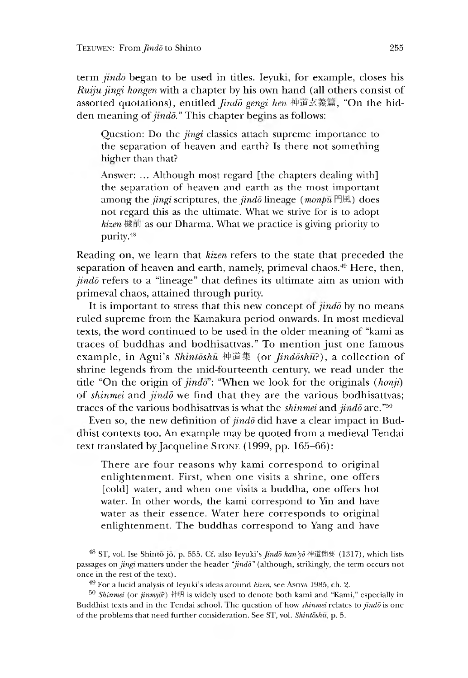term *jindd* began to be used in titles. Ieyuki, for example, closes his *Ruiju jingi hongen* with a chapter by his own hand (all others consist of assorted quotations), entitled *Jindō gengi hen* 神道玄義篇, "On the hidden meaning of *jindō*." This chapter begins as follows:

Question: Do the *jingi* classics attach supreme importance to the separation of heaven and earth? Is there not something higher than that?

Answer: ... Although most regard [the chapters dealing with] the separation of heaven and earth as the most important among the *jingi* scriptures, the *jindd* lineage *(monpu* 門風) does not regard this as the ultimate. What we strive for is to adopt *kizen* 機刖 as our Dharma. What we practice is giving priority to purity.48

Reading on, we learn that *kizen* refers to the state that preceded the separation of heaven and earth, namely, primeval chaos.<sup>49</sup> Here, then, *jindd* refers to a "lineage" that defines its ultimate aim as union with primeval chaos, attained through purity.

It is important to stress that this new concept of *jindo* by no means ruled supreme from the Kamakura period onwards. In most medieval texts, the word continued to be used in the older meaning of "kami as traces of buddhas and bodhisattvas." To mention just one famous example, in Agui's *Shintoshu* 神道集 (or *Jindoshu*?), a collection of shrine legends from the mid-fourteenth century, we read under the title "On the origin of *jindo*": "When we look for the originals (*honji*) of *shinmei* and *jindd* we find that they are the various bodhisattvas; traces of the various bodhisattvas is what the *shinmei* and *jindō* are."<sup>50</sup>

Even so, the new definition of *jindo* did have a clear impact in Buddnist contexts too. An example may be quoted from a medieval Tendai text translated by Jacqueline Stone (1999, pp. 165-66):

There are four reasons why kami correspond to original enlightenment. First, when one visits a shrine, one offers [cold] water, and when one visits a buddha, one offers hot water. In other words, the kami correspond to Ym and have water as their essence. Water here corresponds to original enlightenment. The buddhas correspond to Yang and have

<sup>&</sup>lt;sup>48</sup> ST, vol. Ise Shintō jō, p. 555. Cf. also Ieyuki's *Jindō kan'yō* 神道簡要 (1317), which lists passages on *jingi* matters under the header *"jindd"* (although, strikingly, the term occurs not once in the rest of the text).

<sup>49</sup> For a lucid analysis of Ieyuki's ideas around *kizen,* see Asoya 1985, ch. 2.

<sup>&</sup>lt;sup>50</sup> *Shinmei* (or  $jinnw\overrightarrow{v}$ ) 神明 is widely used to denote both kami and "Kami," especially in Buddhist texts and in the Tendai school. The question of how *shinmei* relates to *jindo* is one of the problems that need further consideration. See ST, vol. *Shintdshu,* p. 5.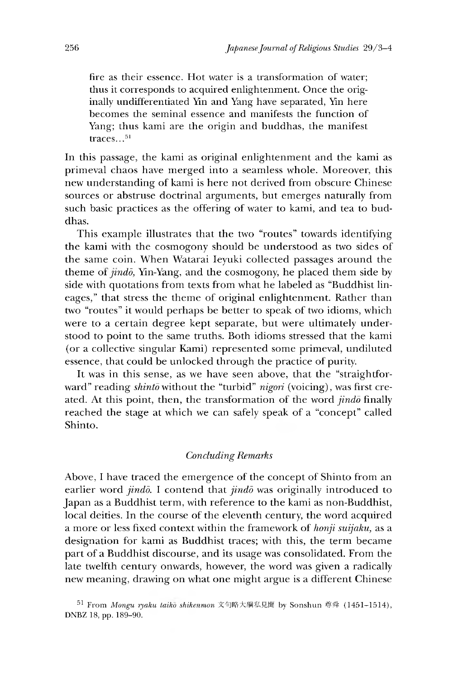fire as their essence. Hot water is a transformation of water; thus it corresponds to acquired enlightenment. Once the originally undifferentiated *Ym* and Yang have separated, *Ym* here becomes the seminal essence and manifests the function of Yang; thus kami are the origin and buddhas, the manifest traces...<sup>51</sup>

In this passage, the kami as original enlightenment and the kami as primeval chaos have merged into a seamless whole. Moreover, this new understanding of kami is here not derived from obscure Chinese sources or abstruse doctrinal arguments, but emerges naturally from such basic practices as the offering of water to kami, and tea to buddhas.

This example illustrates that the two "routes" towards identifying the kami with the cosmogony should be understood as two sides of the same coin. When Watarai Ieyuki collected passages around the theme of *jindō*, Yin-Yang, and the cosmogony, he placed them side by side with quotations from texts from what he labeled as "Buddhist lineages," that stress the theme of original enlightenment. Rather than two "routes" it would perhaps be better to speak of two idioms, which were to a certain degree kept separate, but were ultimately understood to point to the same truths. Both idioms stressed that the kami (or a collective singular Kami) represented some primeval, undiluted essence, that could be unlocked through the practice of purity.

It was in this sense, as we have seen above, that the "straightforward" reading *shinto* without the "turbid" *nigori* (voicing), was first created. At this point, then, the transformation of the word *jindo* finally reached the stage at which we can safely speak of a "concept" called Shinto.

# *Concluding Remarks*

Above, I have traced the emergence of the concept of Shinto from an earlier word *jindō*. I contend that *jindō* was originally introduced to Japan as a Buddhist term, with reference to the kami as non-Buddhist, local deities. In the course of the eleventh century, the word acquired a more or less fixed context within the framework of *honji suijaku,* as a designation for kami as Buddhist traces; with this, the term became part of a Buddhist discourse, and its usage was consolidated. From the late twelfth century onwards, however, the word was given a radically new meaning, drawing on what one might argue is a different Chinese

<sup>51</sup> From *Mongu ryaku taiko shikenmon* 文句略大綱私見聞 by Sonshun 尊舜 (1451-1514), DNBZ 18 pp. 189-90.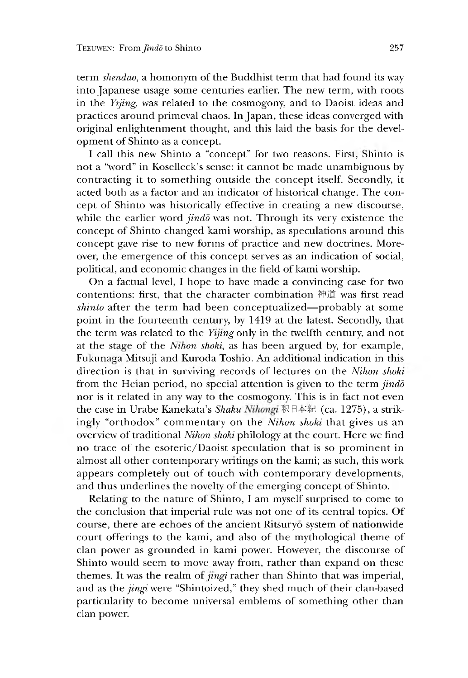term *shendao* a homonym of the Buddhist term that had found its way into Japanese usage some centuries earlier. The new term, with roots in the *Yijing* was related to the cosmogony, and to Daoist ideas and practices around primeval chaos. In Japan, these ideas converged with original enlightenment thought, and this laid the basis for the development of Shinto as a concept.

I call this new Shinto a "concept" for two reasons. First, ^hmto is not a "word" in Koselleck's sense: it cannot be made unambiguous by contracting it to something outside the concept itself. Secondly, it acted both as a factor and an indicator of historical change. The concept of Shinto was historically effective in creating a new discourse, while the earlier word *jindo* was not. Through its very existence the concept of Shinto changed kami worship, as speculations around this concept gave rise to new forms of practice and new doctrines. Moreover, the emergence of this concept serves as an indication of social, political, and economic changes in the field of kami worship.

On a factual level,I hope to have made a convincing case for two contentions: first, that the character combination 神道 was first read *shintō* after the term had been conceptualized—probably at some point in the fourteenth century, by 1419 at the latest. Secondly, that the term was related to the *Ytjtng* only in the twelfth century, and not at the stage of the *Nihon shoki*, as has been argued by, for example, Fukunaea Mitsuji and Kuroda Toshio. An additional indication in this direction is that in surviving records of lectures on the *Nihon shoki* from the Heian period, no special attention is given to the term *jindo* nor is it related in any way to the cosmogony. This is in fact not even the case in Urabe Kanekata's *Shaku Nihongi* 釈日本紀 (ca. 1275), a strikingly "orthodox" commentary on the *Nihon shoki* that gives us an overview of traditional *Nihon shoki* philology at the court. Here we find no trace of the esoteric/Daoist speculation that is so prominent in almost all other contemporary writings on the kami; as such, this work appears completely out of touch with contemporary developments, and thus underlines the novelty of the emerging concept of Sninto.

Relating to the nature of Shinto, I am myself surprised to come to the conclusion that imperial rule was not one of its central topics. Of course, there are echoes of the ancient Ritsuryo system of nationwide court offerings to the kami, and also of the mythological theme of clan power as grounded in kami power. However, the discourse of Shinto would seem to move away from, rather than expand on these themes. It was the realm of *jingi* rather than Shinto that was imperial, and as the *jingi* were "Shintoized," they shed much of their clan-based particularity to become universal emblems of something other than clan power.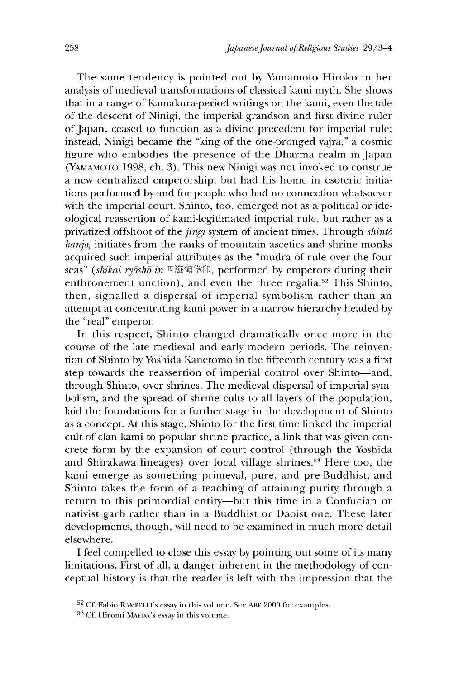The same tendency is pointed out by Yamamoto Hiroko in her analysis of medieval transformations of classical kami myth. She shows that in a range of Kamakura-period writings on the kami, even the tale of the descent of Ninigi, the imperial grandson and first divine ruler of Japan, ceased to function as a divine precedent for imperial rule; instead, Ninigi became the "king of the one-pronged vajra," a cosmic figure who embodies the presence of the Dharma realm in Japan (YAMAMOTO 1998, ch. 3). This new Ninigi was not invoked to construe a new centralized emperorship, but had his home in esoteric initiations performed by and for people who had no connection whatsoever with the imperial court. Shinto, too, emerged not as a political or ideological reassertion of kami-legitimated imperial rule, but rather as a privatized offshoot of the *jingi* system of ancient times. Through *shintd kanjd,* initiates from the ranks of mountain ascetics and shrine monks acquired such imperial attributes as the "mudra of rule over the four seas" *(shikai ryosho in* 四海領掌印, performed by emperors during their enthronement unction), and even the three regalia.<sup>52</sup> This Shinto, then, signalled a dispersal of imperial symbolism rather than an attempt at concentrating kami power in a narrow hierarchy headed by the "real" emperor.

In this respect, Shinto changed dramatically once more in the course of the late medieval and early modern periods. The reinvention of Shinto by Yoshida Kanetomo in the fitteenth century was a first step towards the reassertion of imperial control over Shinto—and, through Shinto, over shrines. The medieval dispersal of imperial symbolism, and the spread of shrine cults to all layers of the population, laid the foundations for a further stage in the development of Shinto as a concept. At this stage, Shinto for the first time linked the imperial cult of clan kami to popular shrine practice, a link that was eiven concrete form by the expansion of court control (through the Yoshida and Shirakawa lineages) over local village shrines.<sup>53</sup> Here too, the kami emerge as something primeval, pure, and pre-Buddhist, and Shinto takes the form of a teaching of attaining purity through a return to this primordial entity—but this time in a Confucian or nativist garb rather than in a Buddhist or Daoist one. These later developments, though, will need to be examined in much more detail elsewhere.

I feel compelled to close this essay by pointing out some of its many limitations. First of all, a danger inherent in the methodology of conceptual history is that the reader is left with the impression that the

<sup>&</sup>lt;sup>52</sup> Cf. Fabio RAMBELLI's essay in this volume. See ABE 2000 for examples.

 $53$  Cf. Hiromi MAEDA's essay in this volume.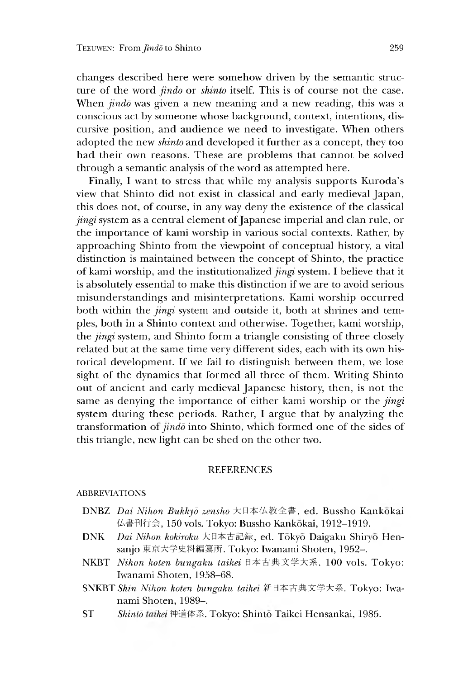changes described here were somehow driven by the semantic structure of the word *jindo* or *shinto* itself. This is of course not the case. When *jindo* was given a new meaning and a new reading, this was a conscious act by someone whose background, context, intentions, discursive position, and audience we need to investigate. When others adopted the new *shinto* and developed it further as a concept, they too had their own reasons. These are problems that cannot be solved through a semantic analysis of the word as attempted here.

Finally, I want to stress that while my analysis supports Kuroda's view that Shinto did not exist in classical and early medieval Japan, this does not, of course, in any way deny the existence of the classical *jingi* system as a central element of Japanese imperial and clan rule, or the importance of kami worship in various social contexts. Rather, by approaching Shinto from the viewpoint of conceptual history, a vital distinction is maintained between the concept of Shinto, the practice of kami worship, and the institutionalized *Jingi* system. I believe that it is absolutely essential to make this distinction if we are to avoid serious misunderstandings and misinterpretations. Kami worship occurred both within the *jingi* system and outside it, both at shrines and temples, both in a Shinto context and otherwise. Together, kami worship, the *jingi* system, and Shinto form a triangle consisting of three closely related but at the same time very different sides, each with its own historical development. If we fail to distinguish between them, we lose sight of the dynamics that formed all three of them. Writing Shinto out of ancient and early medieval Japanese history, then, is not the same as denying the importance of either kami worship or the *jingi* system during these periods. Rather, I argue that by analyzing the transformation of *jindo* into Shinto, which formed one of the sides of this triangle, new light can be shed on the other two.

## REFERENCES

#### ABBREVIATIONS

- DNBZ *Dai Nihon Bukkyd zensho* 大日本仏教全書,ed. Bussho Kankokai 仏書刊行会, 150 vols. Tokyo: Bussho Kankōkai, 1912-1919.
- DNK *Dai Nihon kokiroku* 大日本古記録,ed. Tokyo Daigaku Shiryo Hensanjo 東京大学史料編纂所. Tokyo: Iwanami Shoten, 1952-.
- NKBT *Nihon koten bungaku taikei* 日本古典文学大系. 100 vols. Tokyo: Iwanami Shoten, 1958-68.
- SNKBT *Shin Nihon koten bungaku taikei* 新日本古典文学大系. Tokyo: Iwanami Shoten, 1989-.
- ST Shintō taikei 神道体系. Tokyo: Shintō Taikei Hensankai, 1985.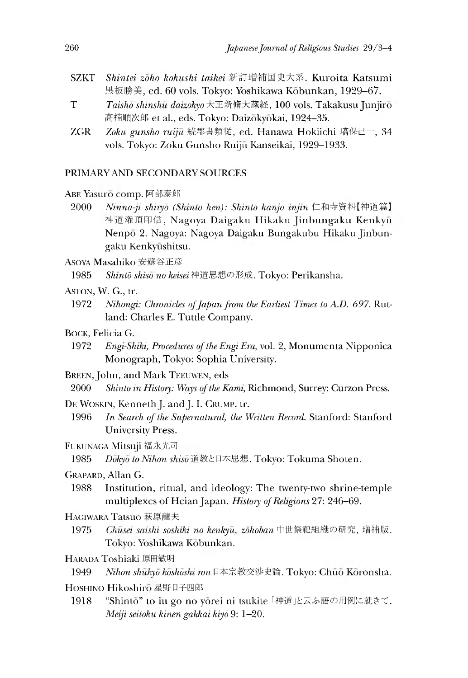- SZKT *Shintei zoho kokushi taikei* 新訂増補国史大系. Kuroita Katsumi 黒板勝美, ed. 60 vols. Tokyo: Yoshikawa Kobunkan, 1929-67.
- T *Taisho shinshu daizdkyd*大正新脩大蔵経,100 vols. Takakusu Junjiro 高楠順次郎 et al., eds. Tokyo: Daizōkyōkai, 1924-35.
- ZGR *Zoku gunsho ruiju* 続郡書類従,ed. Hanawa Hokiichi 墙保己一,34 vols. Tokyo: Zoku Gunsho Ruiju Kanseikai, 1929-1933.

# PRIMARY AND SECONDARY SOURCES

- ABE Yasuro comp. 阿部泰郎
	- 2000 *Ninna-ji shiryo (Shintd hen): Shintd kanjd injin* 仁和寺資料 神道篇】 神道潅頂印信, Nagoya Daigaku Hikaku Jinbungaku Kenkyū Nenpo 2. Nagoya: Nagoya Daigaku Bungakubu Hikaku Jinbungaku Kenkyūshitsu.

Asoya Masahiko 安蘇谷正彦

1985 *Shintd shiso no keisei*神道思想の形成. Tokyo: Perikansha.

ASTON, W. G., tr.

- 1972 *Nihongi: Chronicles of Japan from the Earliest Times to A.D. 697.* Rutland: Charles E. Tuttle Company.
- Bock, Felicia G.
	- 1972 *Engi-Sniki, Procedures of the Engi Era,* vol.2,Monumenta Nipponica Monograph, Tokyo: Sophia University.

Breen, John, and Mark Teeuwen, eds

2000 *Shinto in History: Ways of the Kami* Richmond, Surrey: Curzon Press.

- De Woskin, Kenneth J. and J. I. Crump, tr.
- 1996 *In Search of the Supernatural, the Written Record.* Stanford: Stanford University Press.
- FUKUNAGA Mitsuji 福永光司

1985 *Dōkyō to Nihon shisō* 道教と日本思想. Tokyo: Tokuma Shoten.

Grapard, Allan G.

1988 Institution, ritual, and ideology: The twenty-two shrine-temple multiplexes of Heian Japan. *History of Religions* 27: 246-69.

HAGIWARA Tatsuo 萩原龍夫

1975 *Chusei saishi soshiki no kenkyu*, zohoban 中世祭祀組織の研究, 増補版. Tokyo: Yoshikawa Kobunkan.

HARADA Toshiaki 原田敏明

1949 *Nihon shukyō kōshōshi ron* 日本宗教交渉史論. Tokyo: Chuō Kōronsha.

HOSHINO Hikoshiro 星野日子四郎

1918 "Shinto" to iu go no yorei ni tsukite 「神道」と云ふ語の用例に就きて. *Meiji seitoku kinen gakkai kiyd* 9:1-20.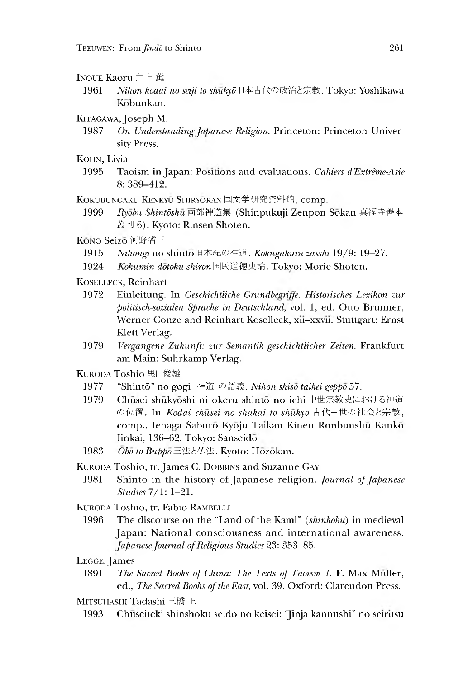#### Inoue Kaoru 井上薰

- 1961 *Nihon kodai no seiji to shukyo* 日本古代の政治と宗教. Tokyo: Yoshikawa Kobunkan.
- Kitagawa, Joseph M.
- 1987 *On Understanding Japanese Religion.* Princeton: Princeton University Press.
- Kohn, Livia
	- 1995 Taoism in Japan: Positions and evaluations. *Cahiers d'Extrême-Asie* 8: 389-412.
- Kokubungaku Kenkyu Shiryokan 国文学研究資料館,comp.
	- 1999 *Ryobu Shintoshu* 両部神道集 (Shinpukuji Zenpon Sokan 真福寺善本 叢刊 6). Kyoto: Rinsen Shoten.
- Kōno Seizō 河野省三
	- 1915 *Nihongi* no shinto 日本紀 神道*. Kokugakuin zasshi* 19/9: 19-27.
	- 1924 *Kokumin dotoku shiron* 国民道徳史論. Tokyo: Morie Shoten.
- Koselleck, Reinhart
	- 1972 Einleitung. In *Geschichtliche Grundbegriffe. Historisches Lexikon zur* politisch-sozialen Sprache in Deutschland, vol. 1, ed. Otto Brunner, Werner Conze and Reinhart Koselleck, xii-xxvii. Stuttgart: Ernst Klett Verlag.
	- 1979 *Vergangene Zukunft: zur Semantik geschichtlicher Zeiten.* Frankfurt am Main: Suhrkamp Verlag.

KURODA Toshio黒田俊雄

- 1977 "Shint6" no gogi 神道」の語義*. Nihon shiso taikei geppo* 57.
- 1979 Chūsei shūkyōshi ni okeru shintō no ichi 中世宗教史における神道 の位置. In *Kodai chusei no shakai to shukyd*古代中世の社会と宗教, comp., Ienaga Saburō Kyōju Taikan Kinen Ronbunshū Kankō Iinkai, 136-62. Tokyo: Sanseido
- 1983 *Obo to Buppo* 王法と仏法. Kyoto: Hozokan.
- KURODA Toshio, tr. James C. DOBBINS and Suzanne GAY
- 1981 Shinto in the history of Japanese religion. *Journal of Japanese Studies* 7/1: 1-21.
- Kuroda Toshio, tr. Fabio Rambelli
- 1996 The discourse on the "Land of the Kami" *(shinkoku)* in medieval Japan: National consciousness and international awareness. *Japanese Journal of Religious Studies* 23: 353-85.

# LEGGE, James

1891 *The Sacred Books of China: The Texts of Taoism 1 .*F. Max Muller, ed., *The Sacred Books of the East,* vol.39. Oxford: Clarendon Press.

MITSUHASHI Tadashi 三橋 正

1993 Chuseiteki shinshoku seido no keisei: 'Jinja kannushi" no seintsu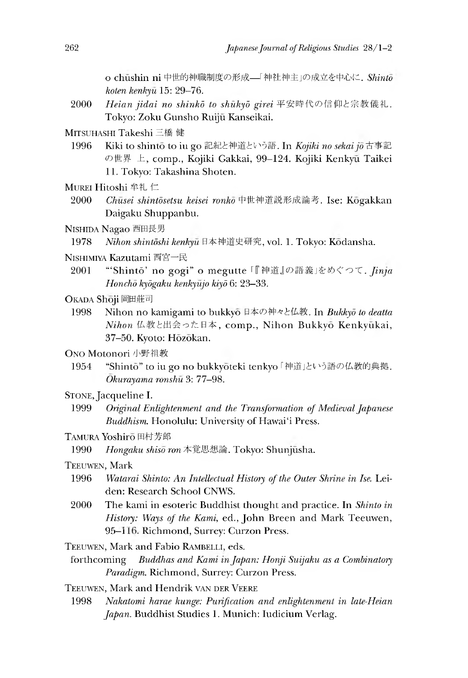o chushin ni 中世的神職制度の形成––「神社神主」の成立を中心に. Shinto *koten kenkyu* 15: 29-76.

- 2000 *Heian jidai no shinko to shukyo girei* 平安時代の信仰と宗教儀礼. Tokyo: Zoku Gunsho Ruiju Kanseikai.
- MITSUHASHI Takeshi 三橋 健
- 1996 Kiki to shinto to iu go 記紀と神道という語. In *Kojiki no sekai jo* 古事記 の世界 上, comp., Kojiki Gakkai, 99–124. Kojiki Kenkyū Taikei 11.Tokyo: Takashina Shoten.
- Murei Hitoshi 牟礼仁
	- 2000 *Chusei shintdsetsu keisei ronko* 神道説形成 . Ise: Kogakkan Daigaku Shuppanbu.
- NISHIDA Nagao 西田長男
	- 1978 *Nihon shintoshi kenkyu* 日本神道史研究, vol. 1. Tokyo: Kodansha.
- Nishimiya Kazutami 西宮一民
	- 2001 "Shintō' no gogi" o megutte 「『神道』の語義」をめぐつて. Jinja *Honcho kydgaku kenkyujo kiyd* 6: 23-33.
- OKADA Shoji 岡田莊司
	- 1998 Nihon no kamigami to bukkyo 日本の神々と仏教. In *Bukkyo to deatta*  $Nihon$  仏教と出会った日本, comp., Nihon Bukkyo Kenkyūkai, 37-50. Kyoto: Hozokan.
- ONO Motonori 小野祖教
	- 1954 "Shinto" to iu go no bukkyōteki tenkyo 「神道」という語の仏教的典拠. *Okurayama ronshu* 3: 77-98.
- Stone, Jacqueline I.
	- 1999 *Original Enlightenment and the Transformation of Medieval Japanese Buddhism.* Honolulu: University of Hawai'i Press.

# Tamura Yoshiro 田村芳郎

1990 *Hongaku shiso ron* 本覚思想論. Tokyo: Shunjusha.

# Teeuwen, Mark

- 1996 *Watarai Shinto: An Intellectual History of the Outer Shrine in Ise.* Leiden: Research School CNWS.
- 2000 The kami m esoteric Buddhist thought and practice. In *Shinto in History: Ways of the Kami,* ed., John Breen and Mark Teeuwen, 95-116. Richmond, Surrey: Curzon Press.
- Teeuwen, Mark and Fabio Rambelli, eds.
- forthcoming *Buddhas and Kami in Japan: Honji Suijaku as a Combinatory Paradigm.* Richmond, Surrey: Curzon Press.
- Teeuwen, Mark and Hendrik van der Veere
	- 1998 *Nakatomi harae kunge: Purification and enlightenment in late-Heian Japan.* Buddhist Studies 1. Munich: Iudicium Verlag.